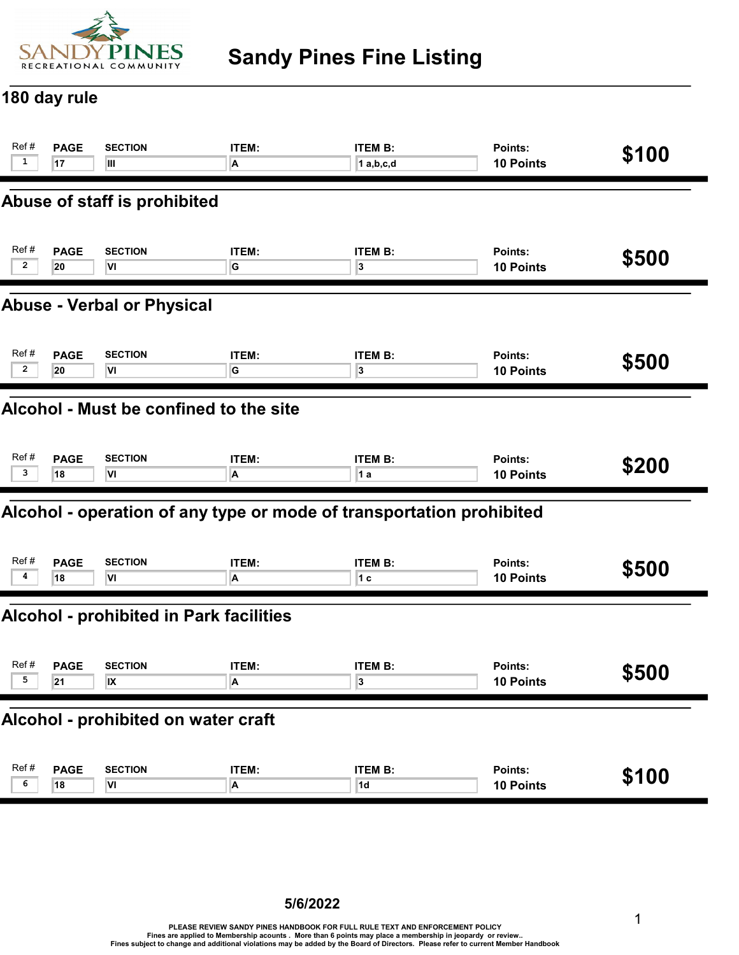

## Sandy Pines Fine Listing

#### 180 day rule

| Ref #                                          | <b>PAGE</b>                            | <b>SECTION</b>               | ITEM:        | <b>ITEM B:</b>                                                       | Points:        | \$100 |  |  |
|------------------------------------------------|----------------------------------------|------------------------------|--------------|----------------------------------------------------------------------|----------------|-------|--|--|
| $\mathbf{1}$                                   | 17                                     | Ш                            | A            | $1$ a,b,c,d                                                          | 10 Points      |       |  |  |
|                                                |                                        | Abuse of staff is prohibited |              |                                                                      |                |       |  |  |
| Ref#                                           | <b>PAGE</b>                            | <b>SECTION</b>               | <b>ITEM:</b> | <b>ITEM B:</b>                                                       | Points:        | \$500 |  |  |
| $\overline{2}$                                 | 20                                     | VI                           | G            | 3                                                                    | 10 Points      |       |  |  |
| <b>Abuse - Verbal or Physical</b>              |                                        |                              |              |                                                                      |                |       |  |  |
| Ref#                                           | <b>PAGE</b>                            | <b>SECTION</b>               | ITEM:        | <b>ITEM B:</b>                                                       | Points:        | \$500 |  |  |
| $\overline{2}$                                 | 20                                     | VI                           | G            | 3                                                                    | 10 Points      |       |  |  |
|                                                | Alcohol - Must be confined to the site |                              |              |                                                                      |                |       |  |  |
| Ref #                                          | <b>PAGE</b>                            | <b>SECTION</b>               | <b>ITEM:</b> | <b>ITEM B:</b>                                                       | Points:        | \$200 |  |  |
| 3                                              | 18                                     | ΙVΙ                          | A            | 1 a                                                                  | 10 Points      |       |  |  |
|                                                |                                        |                              |              | Alcohol - operation of any type or mode of transportation prohibited |                |       |  |  |
| Ref#                                           | <b>PAGE</b>                            | <b>SECTION</b>               | ITEM:        | <b>ITEM B:</b>                                                       | Points:        | \$500 |  |  |
| 4                                              | 18                                     | VI                           | А            | 1 <sub>c</sub>                                                       | 10 Points      |       |  |  |
| <b>Alcohol - prohibited in Park facilities</b> |                                        |                              |              |                                                                      |                |       |  |  |
| Ref #                                          | <b>PAGE</b>                            | <b>SECTION</b>               | ITEM:        | <b>ITEM B:</b>                                                       | <b>Points:</b> | \$500 |  |  |
| 5                                              | 21                                     | IX                           | А            | 3                                                                    | 10 Points      |       |  |  |
| Alcohol - prohibited on water craft            |                                        |                              |              |                                                                      |                |       |  |  |
| Ref#                                           | <b>PAGE</b>                            | <b>SECTION</b>               | ITEM:        | <b>ITEM B:</b>                                                       | Points:        | \$100 |  |  |
| 6                                              | 18                                     | VI                           | A            | 1d                                                                   | 10 Points      |       |  |  |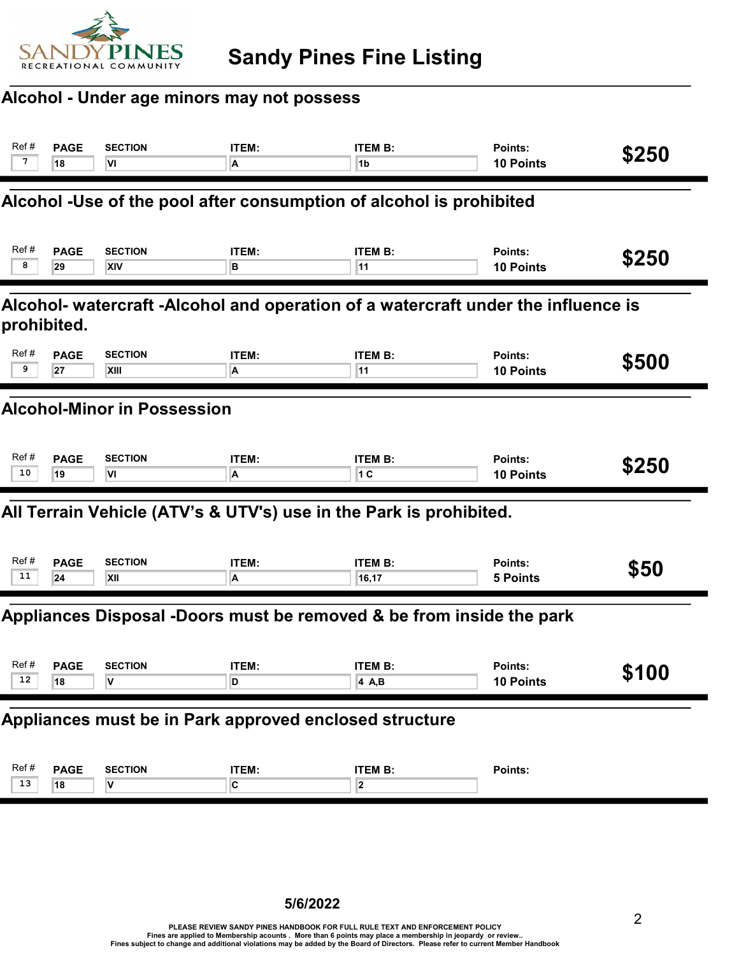

#### Alcohol - Under age minors may not possess

| Ref#<br>7                                                                                        | <b>PAGE</b><br>18 | <b>SECTION</b><br>VI         | ITEM:<br>A | <b>ITEM B:</b><br>1 <sub>b</sub>                                     | Points:<br><b>10 Points</b> | \$250 |  |
|--------------------------------------------------------------------------------------------------|-------------------|------------------------------|------------|----------------------------------------------------------------------|-----------------------------|-------|--|
|                                                                                                  |                   |                              |            | Alcohol -Use of the pool after consumption of alcohol is prohibited  |                             |       |  |
| Ref#<br>8                                                                                        | <b>PAGE</b><br>29 | <b>SECTION</b><br><b>XIV</b> | ITEM:<br>в | <b>ITEM B:</b><br>11                                                 | Points:<br><b>10 Points</b> | \$250 |  |
| Alcohol- watercraft -Alcohol and operation of a watercraft under the influence is<br>prohibited. |                   |                              |            |                                                                      |                             |       |  |
| Ref#<br>9                                                                                        | <b>PAGE</b><br>27 | <b>SECTION</b><br>XIII       | ITEM:<br>A | <b>ITEM B:</b><br>11                                                 | Points:<br><b>10 Points</b> | \$500 |  |
| <b>Alcohol-Minor in Possession</b>                                                               |                   |                              |            |                                                                      |                             |       |  |
| Ref#<br>10                                                                                       | <b>PAGE</b><br>19 | <b>SECTION</b><br>l۷ı        | ITEM:<br>A | <b>ITEM B:</b><br>1 C                                                | Points:<br><b>10 Points</b> | \$250 |  |
|                                                                                                  |                   |                              |            | All Terrain Vehicle (ATV's & UTV's) use in the Park is prohibited.   |                             |       |  |
| Ref#<br>11                                                                                       | <b>PAGE</b><br>24 | <b>SECTION</b><br>XII        | ITEM:<br>A | <b>ITEM B:</b><br>16,17                                              | Points:<br><b>5 Points</b>  | \$50  |  |
|                                                                                                  |                   |                              |            | Appliances Disposal -Doors must be removed & be from inside the park |                             |       |  |
| Ref#<br>12                                                                                       | <b>PAGE</b><br>18 | <b>SECTION</b><br>v          | ITEM:<br>D | <b>ITEM B:</b><br>4 A,B                                              | Points:<br>10 Points        | \$100 |  |
| Appliances must be in Park approved enclosed structure                                           |                   |                              |            |                                                                      |                             |       |  |
| Ref#<br>13                                                                                       | <b>PAGE</b><br>18 | <b>SECTION</b><br>V          | ITEM:<br>C | <b>ITEM B:</b><br>$\overline{\mathbf{2}}$                            | Points:                     |       |  |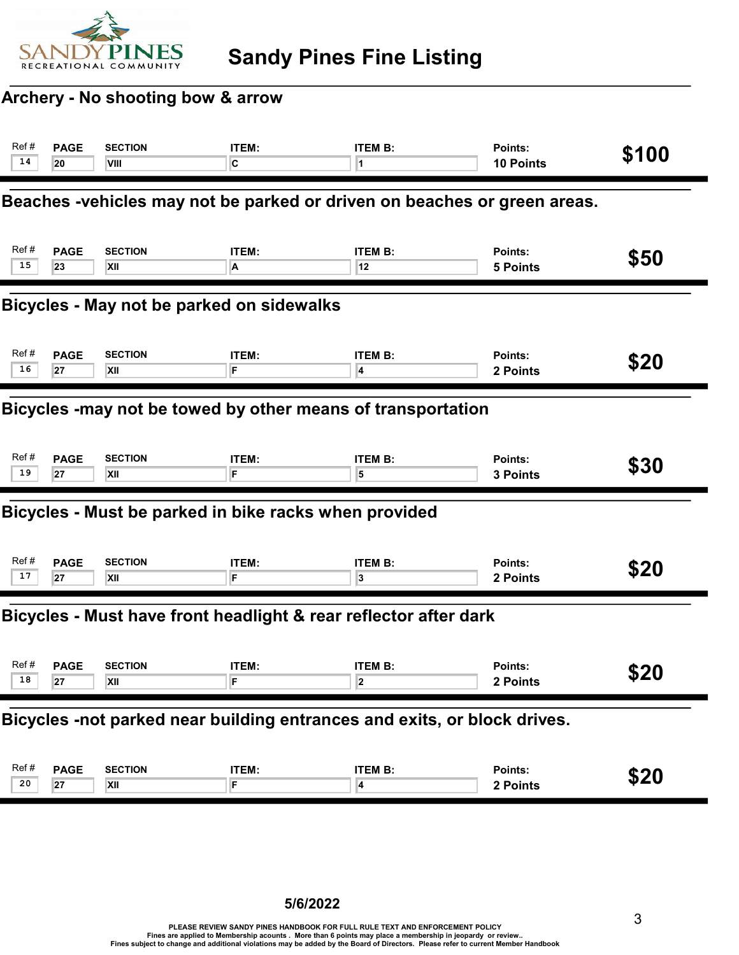

#### Archery - No shooting bow & arrow

| Ref #<br>14                                                 | <b>PAGE</b><br>20                                                        | <b>SECTION</b><br>VIII                                | ITEM:<br>C        | <b>ITEM B:</b>                                                           | Points:<br>10 Points       | \$100 |  |
|-------------------------------------------------------------|--------------------------------------------------------------------------|-------------------------------------------------------|-------------------|--------------------------------------------------------------------------|----------------------------|-------|--|
|                                                             |                                                                          |                                                       |                   | Beaches -vehicles may not be parked or driven on beaches or green areas. |                            |       |  |
| Ref#<br>15                                                  | <b>PAGE</b><br>23                                                        | <b>SECTION</b><br>XII                                 | ITEM:<br>A        | <b>ITEM B:</b><br>12                                                     | Points:<br><b>5 Points</b> | \$50  |  |
| Bicycles - May not be parked on sidewalks                   |                                                                          |                                                       |                   |                                                                          |                            |       |  |
| Ref#<br>16                                                  | <b>PAGE</b><br>27                                                        | <b>SECTION</b><br>XII                                 | ITEM:<br>F        | <b>ITEM B:</b><br>4                                                      | Points:<br>2 Points        | \$20  |  |
| Bicycles -may not be towed by other means of transportation |                                                                          |                                                       |                   |                                                                          |                            |       |  |
| Ref#<br>19                                                  | <b>PAGE</b><br>27                                                        | <b>SECTION</b><br>XII                                 | ITEM:<br>F        | <b>ITEM B:</b><br>5                                                      | Points:<br>3 Points        | \$30  |  |
|                                                             |                                                                          | Bicycles - Must be parked in bike racks when provided |                   |                                                                          |                            |       |  |
| Ref#<br>17                                                  | <b>PAGE</b><br>27                                                        | <b>SECTION</b><br>XII                                 | <b>ITEM:</b><br>F | <b>ITEM B:</b><br>3                                                      | Points:<br>2 Points        | \$20  |  |
|                                                             |                                                                          |                                                       |                   | Bicycles - Must have front headlight & rear reflector after dark         |                            |       |  |
| Ref#<br>18                                                  | <b>PAGE</b><br>27                                                        | <b>SECTION</b><br>XII                                 | ITEM:<br>F        | <b>ITEM B:</b><br>2                                                      | Points:<br>2 Points        | \$20  |  |
|                                                             | Bicycles -not parked near building entrances and exits, or block drives. |                                                       |                   |                                                                          |                            |       |  |
| Ref#<br>20                                                  | <b>PAGE</b><br>27                                                        | <b>SECTION</b><br>XII                                 | ITEM:<br>F        | <b>ITEM B:</b><br>4                                                      | Points:<br>2 Points        | \$20  |  |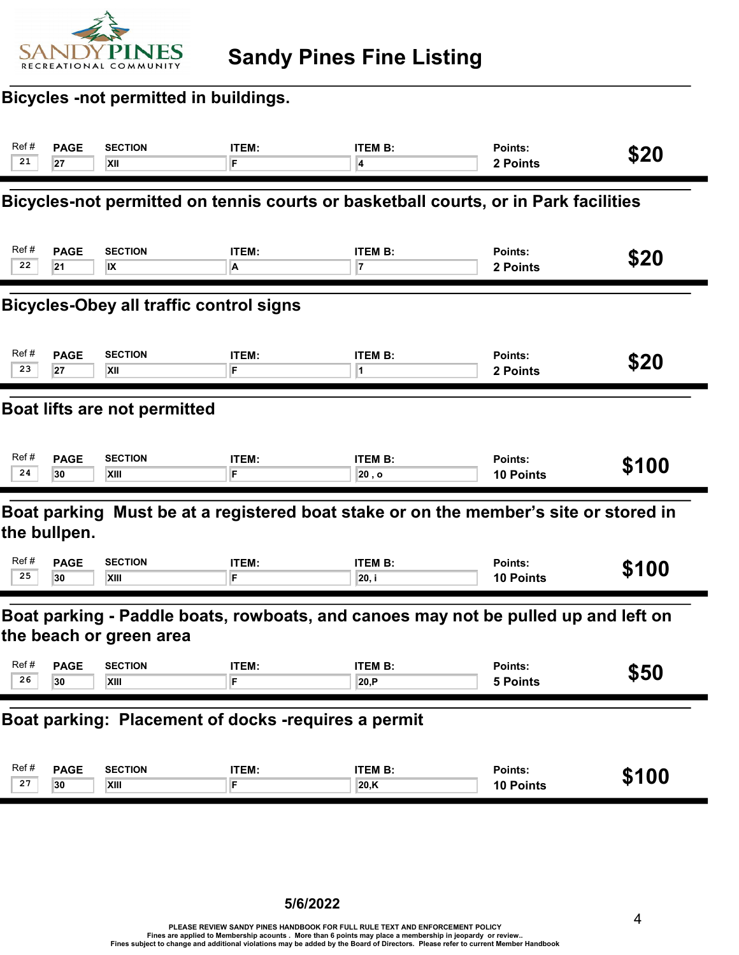

## Bicycles -not permitted in buildings.

| Ref#                                                                                                          | <b>PAGE</b>                                         | <b>SECTION</b> | <b>ITEM:</b> | <b>ITEM B:</b>                                                                       | Points:          | \$20  |  |  |
|---------------------------------------------------------------------------------------------------------------|-----------------------------------------------------|----------------|--------------|--------------------------------------------------------------------------------------|------------------|-------|--|--|
| 21                                                                                                            | 27                                                  | XII            | F            | 4                                                                                    | 2 Points         |       |  |  |
|                                                                                                               |                                                     |                |              | Bicycles-not permitted on tennis courts or basketball courts, or in Park facilities  |                  |       |  |  |
| Ref#                                                                                                          | <b>PAGE</b>                                         | <b>SECTION</b> | ITEM:        | <b>ITEM B:</b>                                                                       | Points:          | \$20  |  |  |
| 22                                                                                                            | 21                                                  | <b>IX</b>      | A            | 7                                                                                    | 2 Points         |       |  |  |
| <b>Bicycles-Obey all traffic control signs</b>                                                                |                                                     |                |              |                                                                                      |                  |       |  |  |
| Ref#                                                                                                          | <b>PAGE</b>                                         | <b>SECTION</b> | ITEM:        | <b>ITEM B:</b>                                                                       | Points:          | \$20  |  |  |
| 23                                                                                                            | 27                                                  | XII            | F            | 1                                                                                    | 2 Points         |       |  |  |
|                                                                                                               | Boat lifts are not permitted                        |                |              |                                                                                      |                  |       |  |  |
| Ref#                                                                                                          | <b>PAGE</b>                                         | <b>SECTION</b> | <b>ITEM:</b> | <b>ITEM B:</b>                                                                       | Points:          | \$100 |  |  |
| 24                                                                                                            | 30                                                  | XIII           | F            | 20, o                                                                                | <b>10 Points</b> |       |  |  |
|                                                                                                               | the bullpen.                                        |                |              | Boat parking Must be at a registered boat stake or on the member's site or stored in |                  |       |  |  |
| Ref#                                                                                                          | <b>PAGE</b>                                         | <b>SECTION</b> | <b>ITEM:</b> | <b>ITEM B:</b>                                                                       | Points:          | \$100 |  |  |
| 25                                                                                                            | 30                                                  | <b>XIII</b>    | F            | 20, i                                                                                | 10 Points        |       |  |  |
| Boat parking - Paddle boats, rowboats, and canoes may not be pulled up and left on<br>the beach or green area |                                                     |                |              |                                                                                      |                  |       |  |  |
| Ref#                                                                                                          | <b>PAGE</b>                                         | <b>SECTION</b> | ITEM:        | <b>ITEM B:</b>                                                                       | Points:          | \$50  |  |  |
| 26                                                                                                            | 30                                                  | XIII           | F            | 20, P                                                                                | 5 Points         |       |  |  |
|                                                                                                               | Boat parking: Placement of docks -requires a permit |                |              |                                                                                      |                  |       |  |  |
| Ref#                                                                                                          | <b>PAGE</b>                                         | <b>SECTION</b> | ITEM:        | <b>ITEM B:</b>                                                                       | Points:          | \$100 |  |  |
| 27                                                                                                            | 30                                                  | XIII           | F            | 20, K                                                                                | 10 Points        |       |  |  |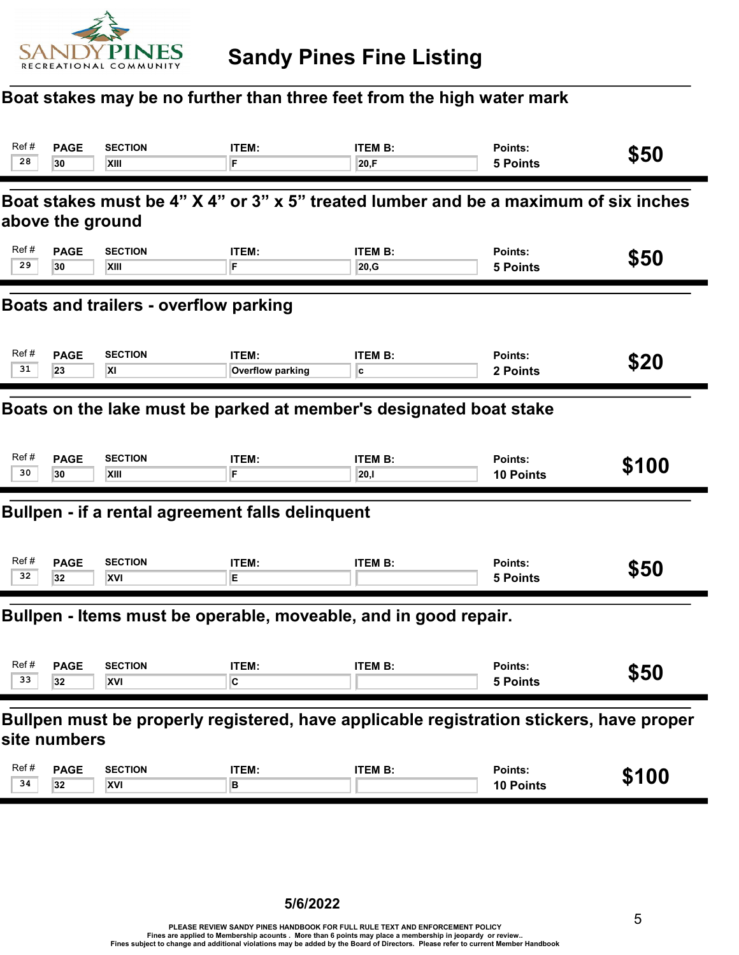

## Boat stakes may be no further than three feet from the high water mark

| Ref#<br>28                                                         | <b>PAGE</b><br>30                                                                                        | <b>SECTION</b><br>XIII                           | ITEM:<br>F                | <b>ITEM B:</b><br>20,F  | Points:<br><b>5 Points</b>  | \$50  |  |  |  |
|--------------------------------------------------------------------|----------------------------------------------------------------------------------------------------------|--------------------------------------------------|---------------------------|-------------------------|-----------------------------|-------|--|--|--|
|                                                                    | Boat stakes must be 4" X 4" or 3" x 5" treated lumber and be a maximum of six inches<br>above the ground |                                                  |                           |                         |                             |       |  |  |  |
| Ref#<br>29                                                         | <b>PAGE</b><br>30                                                                                        | <b>SECTION</b><br>XIII                           | ITEM:<br>F                | <b>ITEM B:</b><br>20, G | Points:<br><b>5 Points</b>  | \$50  |  |  |  |
| Boats and trailers - overflow parking                              |                                                                                                          |                                                  |                           |                         |                             |       |  |  |  |
| Ref#<br>31                                                         | <b>PAGE</b><br>23                                                                                        | <b>SECTION</b><br><b>XI</b>                      | ITEM:<br>Overflow parking | <b>ITEM B:</b><br>c     | Points:<br>2 Points         | \$20  |  |  |  |
| Boats on the lake must be parked at member's designated boat stake |                                                                                                          |                                                  |                           |                         |                             |       |  |  |  |
| Ref#<br>30                                                         | <b>PAGE</b><br>30                                                                                        | <b>SECTION</b><br>XIII                           | <b>ITEM:</b><br>F         | <b>ITEM B:</b><br>20,1  | Points:<br><b>10 Points</b> | \$100 |  |  |  |
|                                                                    |                                                                                                          | Bullpen - if a rental agreement falls delinquent |                           |                         |                             |       |  |  |  |
| Ref#<br>32                                                         | <b>PAGE</b><br>32                                                                                        | <b>SECTION</b><br>XVI                            | ITEM:<br>E.               | <b>ITEM B:</b>          | Points:<br><b>5 Points</b>  | \$50  |  |  |  |
| Bullpen - Items must be operable, moveable, and in good repair.    |                                                                                                          |                                                  |                           |                         |                             |       |  |  |  |
| Ref#<br>33                                                         | <b>PAGE</b><br>32                                                                                        | <b>SECTION</b><br>XVI                            | ITEM:<br>C                | <b>ITEM B:</b>          | Points:<br>5 Points         | \$50  |  |  |  |
|                                                                    | Bullpen must be properly registered, have applicable registration stickers, have proper<br>site numbers  |                                                  |                           |                         |                             |       |  |  |  |
| Ref#<br>34                                                         | <b>PAGE</b><br>32                                                                                        | <b>SECTION</b><br>XVI                            | ITEM:<br>в                | <b>ITEM B:</b>          | Points:<br>10 Points        | \$100 |  |  |  |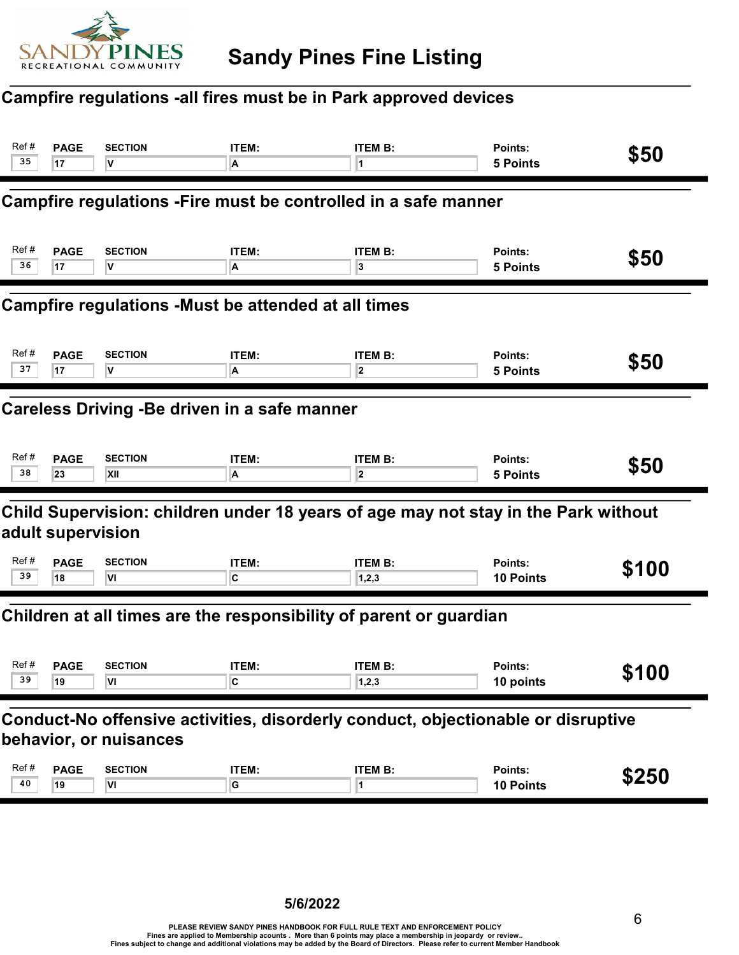

#### Campfire regulations -all fires must be in Park approved devices

| Ref #                                                              | <b>PAGE</b>                                                                                                | <b>SECTION</b> | <b>ITEM:</b>   | <b>ITEM B:</b>                                                                     | Points:         | \$50  |  |  |
|--------------------------------------------------------------------|------------------------------------------------------------------------------------------------------------|----------------|----------------|------------------------------------------------------------------------------------|-----------------|-------|--|--|
| 35                                                                 | 17                                                                                                         | v              | A              | 1                                                                                  | 5 Points        |       |  |  |
|                                                                    |                                                                                                            |                |                | Campfire regulations - Fire must be controlled in a safe manner                    |                 |       |  |  |
| Ref#                                                               | <b>PAGE</b>                                                                                                | <b>SECTION</b> | ITEM:          | <b>ITEM B:</b>                                                                     | Points:         | \$50  |  |  |
| 36                                                                 | 17                                                                                                         | V              | A              | 3                                                                                  | <b>5 Points</b> |       |  |  |
| <b>Campfire regulations -Must be attended at all times</b>         |                                                                                                            |                |                |                                                                                    |                 |       |  |  |
| Ref#                                                               | <b>PAGE</b>                                                                                                | <b>SECTION</b> | ITEM:          | <b>ITEM B:</b>                                                                     | Points:         | \$50  |  |  |
| 37                                                                 | 17                                                                                                         | V              | A              | $\overline{\mathbf{2}}$                                                            | 5 Points        |       |  |  |
|                                                                    | Careless Driving - Be driven in a safe manner                                                              |                |                |                                                                                    |                 |       |  |  |
| Ref#                                                               | <b>PAGE</b>                                                                                                | <b>SECTION</b> | ITEM:          | <b>ITEM B:</b>                                                                     | Points:         | \$50  |  |  |
| 38                                                                 | 23                                                                                                         | <b>XII</b>     | A              | $\overline{\mathbf{2}}$                                                            | <b>5 Points</b> |       |  |  |
|                                                                    | adult supervision                                                                                          |                |                | Child Supervision: children under 18 years of age may not stay in the Park without |                 |       |  |  |
| Ref#                                                               | <b>PAGE</b>                                                                                                | <b>SECTION</b> | ITEM:          | <b>ITEM B:</b>                                                                     | Points:         | \$100 |  |  |
| 39                                                                 | 18                                                                                                         | ٧I             | IC.            | 1,2,3                                                                              | 10 Points       |       |  |  |
| Children at all times are the responsibility of parent or guardian |                                                                                                            |                |                |                                                                                    |                 |       |  |  |
| Ref#                                                               | <b>PAGE</b>                                                                                                | <b>SECTION</b> | <b>ITEM:</b>   | <b>ITEM B:</b>                                                                     | Points:         | \$100 |  |  |
| 39                                                                 | 19                                                                                                         | VI.            | $\overline{c}$ | 1,2,3                                                                              | 10 points       |       |  |  |
|                                                                    | Conduct-No offensive activities, disorderly conduct, objectionable or disruptive<br>behavior, or nuisances |                |                |                                                                                    |                 |       |  |  |
| Ref#                                                               | <b>PAGE</b>                                                                                                | <b>SECTION</b> | ITEM:          | <b>ITEM B:</b>                                                                     | Points:         | \$250 |  |  |
| 40                                                                 | 19                                                                                                         | VI             | G              | $\overline{1}$                                                                     | 10 Points       |       |  |  |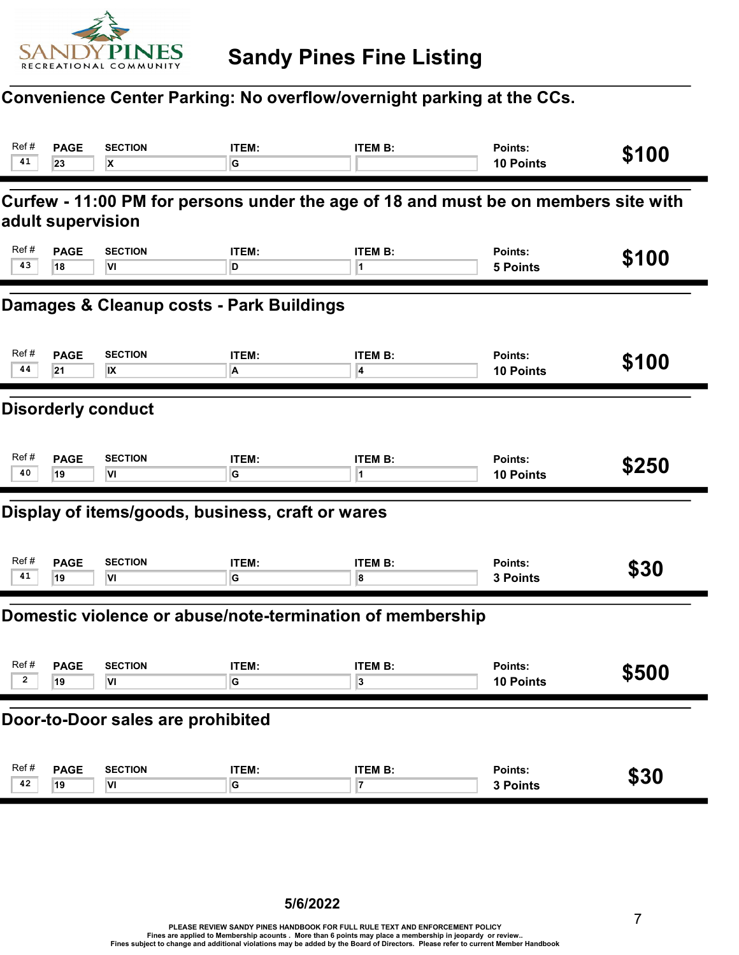

## Convenience Center Parking: No overflow/overnight parking at the CCs.

| Ref#<br>41                                                                                              | <b>PAGE</b><br>23 | <b>SECTION</b><br>X                              | ITEM:<br>G           | <b>ITEM B:</b>                                            | Points:<br><b>10 Points</b> | \$100 |  |  |
|---------------------------------------------------------------------------------------------------------|-------------------|--------------------------------------------------|----------------------|-----------------------------------------------------------|-----------------------------|-------|--|--|
| Curfew - 11:00 PM for persons under the age of 18 and must be on members site with<br>adult supervision |                   |                                                  |                      |                                                           |                             |       |  |  |
| Ref#<br>43                                                                                              | <b>PAGE</b><br>18 | <b>SECTION</b><br>VI                             | <b>ITEM:</b><br>D    | <b>ITEM B:</b><br>1                                       | Points:<br><b>5 Points</b>  | \$100 |  |  |
| Damages & Cleanup costs - Park Buildings                                                                |                   |                                                  |                      |                                                           |                             |       |  |  |
| Ref#<br>44                                                                                              | <b>PAGE</b><br>21 | <b>SECTION</b><br>IX                             | ITEM:<br>A           | <b>ITEM B:</b><br>4                                       | Points:<br><b>10 Points</b> | \$100 |  |  |
| <b>Disorderly conduct</b>                                                                               |                   |                                                  |                      |                                                           |                             |       |  |  |
| Ref#<br>40                                                                                              | <b>PAGE</b><br>19 | <b>SECTION</b><br>VI                             | ITEM:<br>G           | <b>ITEM B:</b>                                            | Points:<br><b>10 Points</b> | \$250 |  |  |
|                                                                                                         |                   | Display of items/goods, business, craft or wares |                      |                                                           |                             |       |  |  |
| Ref#<br>41                                                                                              | <b>PAGE</b><br>19 | <b>SECTION</b><br>VI                             | <b>ITEM:</b><br>G    | <b>ITEM B:</b><br>8                                       | Points:<br>3 Points         | \$30  |  |  |
|                                                                                                         |                   |                                                  |                      | Domestic violence or abuse/note-termination of membership |                             |       |  |  |
| Ref#<br>2                                                                                               | <b>PAGE</b><br>19 | <b>SECTION</b><br>VI                             | ITEM:<br>G           | <b>ITEM B:</b><br>3                                       | Points:<br>10 Points        | \$500 |  |  |
| Door-to-Door sales are prohibited                                                                       |                   |                                                  |                      |                                                           |                             |       |  |  |
| Ref#<br>42                                                                                              | <b>PAGE</b><br>19 | <b>SECTION</b><br>VI                             | ITEM:<br>$\mathsf G$ | <b>ITEM B:</b><br>7                                       | Points:<br>3 Points         | \$30  |  |  |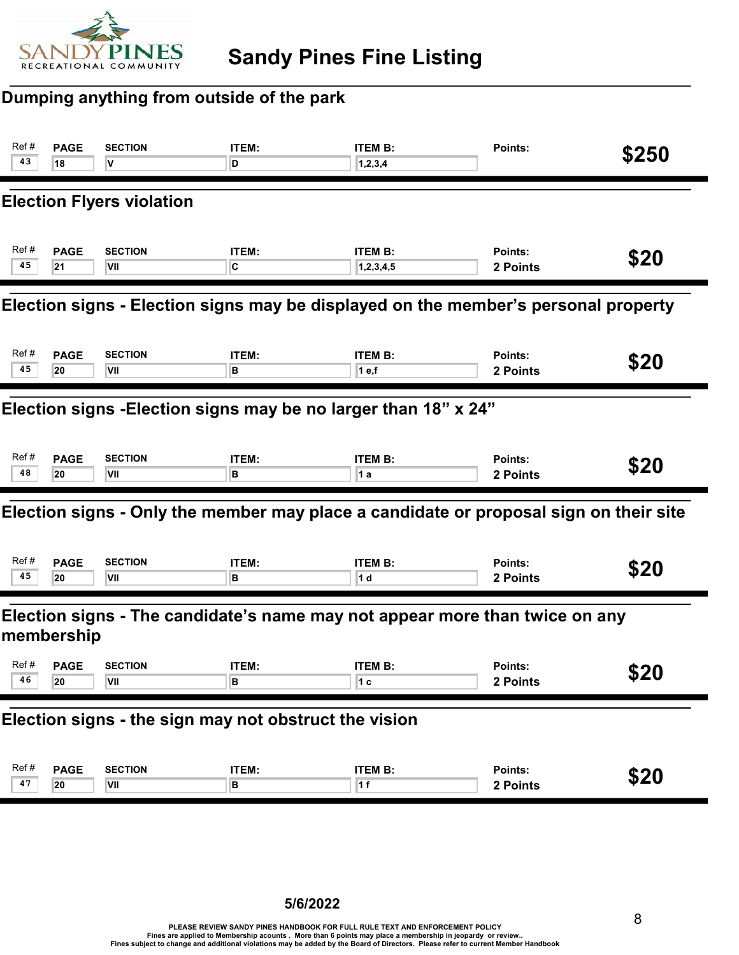

## Dumping anything from outside of the park

| Ref #<br>43                                                                               | <b>PAGE</b><br>18                                               | <b>SECTION</b><br>v              | ITEM:<br>D        | <b>ITEM B:</b><br>1, 2, 3, 4                                                          | Points:             | \$250 |  |  |
|-------------------------------------------------------------------------------------------|-----------------------------------------------------------------|----------------------------------|-------------------|---------------------------------------------------------------------------------------|---------------------|-------|--|--|
|                                                                                           |                                                                 | <b>Election Flyers violation</b> |                   |                                                                                       |                     |       |  |  |
| Ref#<br>45                                                                                | <b>PAGE</b><br>21                                               | <b>SECTION</b><br>VII            | ITEM:<br>C        | <b>ITEM B:</b><br>1, 2, 3, 4, 5                                                       | Points:<br>2 Points | \$20  |  |  |
| Election signs - Election signs may be displayed on the member's personal property        |                                                                 |                                  |                   |                                                                                       |                     |       |  |  |
| Ref#<br>45                                                                                | <b>PAGE</b><br>20                                               | <b>SECTION</b><br>VII            | ITEM:<br>в        | <b>ITEM B:</b><br>1 e,f                                                               | Points:<br>2 Points | \$20  |  |  |
|                                                                                           | Election signs - Election signs may be no larger than 18" x 24" |                                  |                   |                                                                                       |                     |       |  |  |
| Ref#<br>48                                                                                | <b>PAGE</b><br>20                                               | <b>SECTION</b><br>VII            | ITEM:<br>в        | <b>ITEM B:</b><br>1 a                                                                 | Points:<br>2 Points | \$20  |  |  |
|                                                                                           |                                                                 |                                  |                   | Election signs - Only the member may place a candidate or proposal sign on their site |                     |       |  |  |
| Ref#<br>45                                                                                | <b>PAGE</b><br>20                                               | <b>SECTION</b><br>VII            | ITEM:<br>в        | <b>ITEM B:</b><br>1 d                                                                 | Points:<br>2 Points | \$20  |  |  |
| Election signs - The candidate's name may not appear more than twice on any<br>membership |                                                                 |                                  |                   |                                                                                       |                     |       |  |  |
| Ref#<br>46                                                                                | <b>PAGE</b><br> 20                                              | <b>SECTION</b><br><b>VII</b>     | <b>ITEM:</b><br>в | <b>ITEM B:</b><br>1 C                                                                 | Points:<br>2 Points | \$20  |  |  |
|                                                                                           | Election signs - the sign may not obstruct the vision           |                                  |                   |                                                                                       |                     |       |  |  |
| Ref#<br>47                                                                                | <b>PAGE</b><br>20                                               | <b>SECTION</b><br>VII            | ITEM:<br>в        | <b>ITEM B:</b><br>1 f                                                                 | Points:<br>2 Points | \$20  |  |  |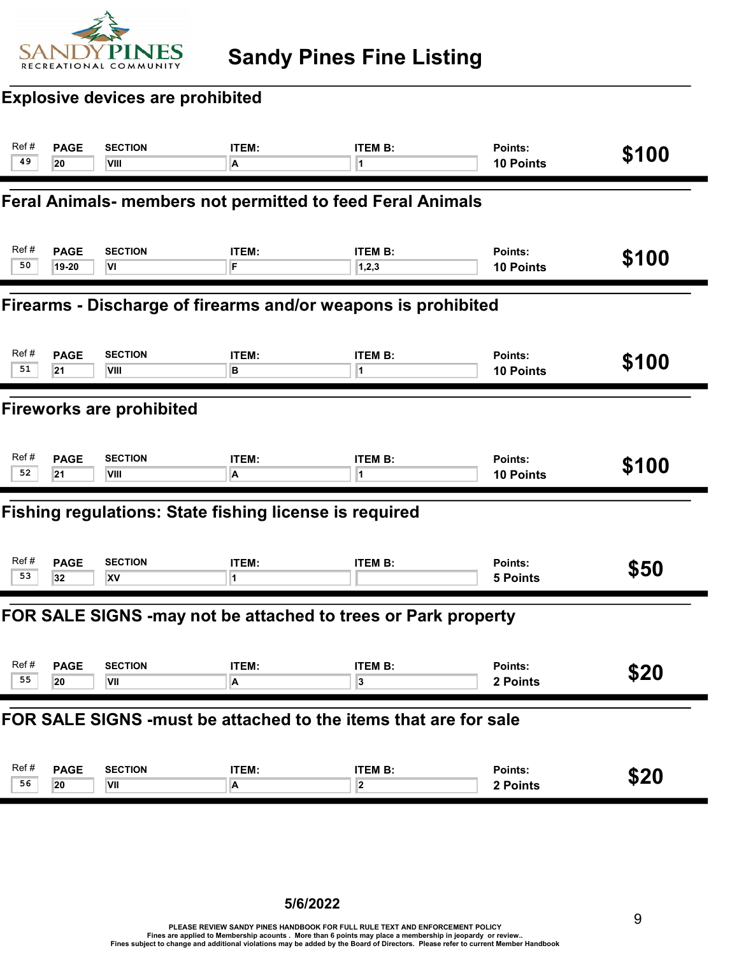

## Explosive devices are prohibited

| Ref#<br>49 | <b>PAGE</b><br>20                                               | <b>SECTION</b><br>VIII                                        | ITEM:<br>A | <b>ITEM B:</b><br>1                                           | Points:<br>10 Points        | \$100 |  |  |  |
|------------|-----------------------------------------------------------------|---------------------------------------------------------------|------------|---------------------------------------------------------------|-----------------------------|-------|--|--|--|
|            | Feral Animals- members not permitted to feed Feral Animals      |                                                               |            |                                                               |                             |       |  |  |  |
| Ref#<br>50 | <b>PAGE</b><br>19-20                                            | <b>SECTION</b><br>VI                                          | ITEM:<br>F | <b>ITEM B:</b><br>1,2,3                                       | Points:<br>10 Points        | \$100 |  |  |  |
|            | Firearms - Discharge of firearms and/or weapons is prohibited   |                                                               |            |                                                               |                             |       |  |  |  |
| Ref#<br>51 | <b>PAGE</b><br>21                                               | <b>SECTION</b><br>VIII                                        | ITEM:<br>в | <b>ITEM B:</b><br>1                                           | Points:<br><b>10 Points</b> | \$100 |  |  |  |
|            | <b>Fireworks are prohibited</b>                                 |                                                               |            |                                                               |                             |       |  |  |  |
| Ref#<br>52 | <b>PAGE</b><br>21                                               | <b>SECTION</b><br>VIII                                        | ITEM:<br>A | <b>ITEM B:</b><br>1                                           | Points:<br><b>10 Points</b> | \$100 |  |  |  |
|            |                                                                 | <b>Fishing regulations: State fishing license is required</b> |            |                                                               |                             |       |  |  |  |
| Ref#<br>53 | <b>PAGE</b><br>32                                               | <b>SECTION</b><br>XV                                          | ITEM:<br>1 | <b>ITEM B:</b>                                                | Points:<br><b>5 Points</b>  | \$50  |  |  |  |
|            |                                                                 |                                                               |            | FOR SALE SIGNS -may not be attached to trees or Park property |                             |       |  |  |  |
| Ref#<br>55 | <b>PAGE</b><br>20                                               | <b>SECTION</b><br>VII                                         | ITEM:<br>A | <b>ITEM B:</b><br>3                                           | Points:<br>2 Points         | \$20  |  |  |  |
|            | FOR SALE SIGNS -must be attached to the items that are for sale |                                                               |            |                                                               |                             |       |  |  |  |
| Ref#<br>56 | <b>PAGE</b><br>20                                               | <b>SECTION</b><br>VII                                         | ITEM:<br>A | <b>ITEM B:</b><br>$\overline{\mathbf{2}}$                     | Points:<br>2 Points         | \$20  |  |  |  |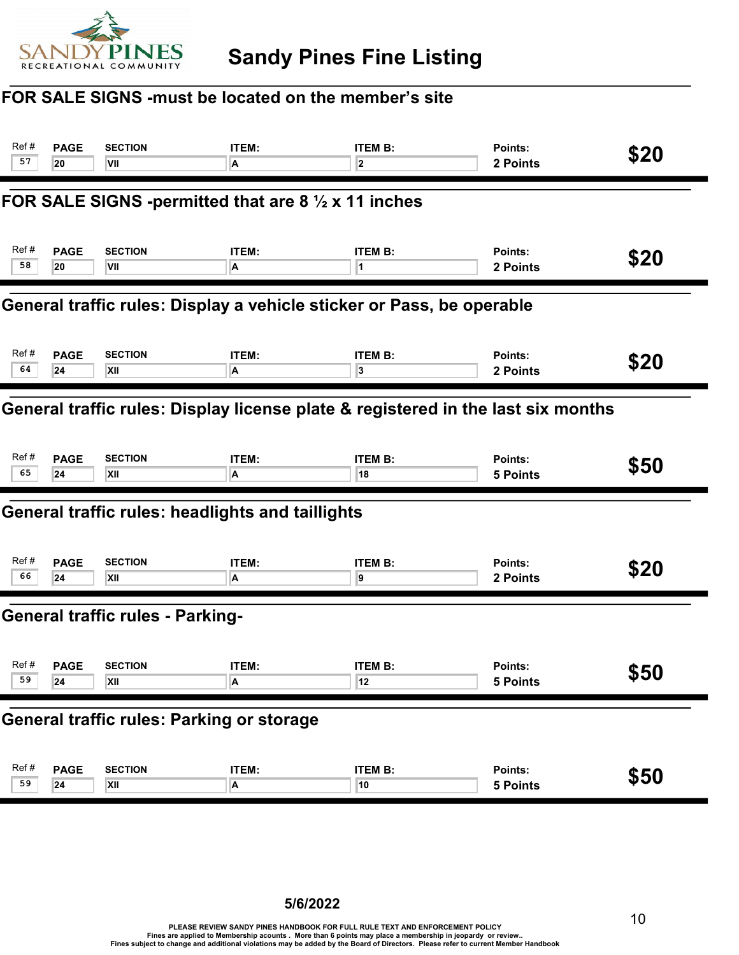

#### FOR SALE SIGNS -must be located on the member's site

| Ref#                                                                             | <b>PAGE</b> | <b>SECTION</b>                                                 | ITEM:        | <b>ITEM B:</b>          | Points:         | \$20 |  |
|----------------------------------------------------------------------------------|-------------|----------------------------------------------------------------|--------------|-------------------------|-----------------|------|--|
| 57                                                                               | 20          | VII                                                            | A            | $\overline{\mathbf{2}}$ | 2 Points        |      |  |
|                                                                                  |             | FOR SALE SIGNS -permitted that are 8 $\frac{1}{2}$ x 11 inches |              |                         |                 |      |  |
| Ref#                                                                             | <b>PAGE</b> | <b>SECTION</b>                                                 | ITEM:        | <b>ITEM B:</b>          | Points:         | \$20 |  |
| 58                                                                               | 20          | VII                                                            | A            | 11.                     | 2 Points        |      |  |
| General traffic rules: Display a vehicle sticker or Pass, be operable            |             |                                                                |              |                         |                 |      |  |
| Ref#                                                                             | <b>PAGE</b> | <b>SECTION</b>                                                 | ITEM:        | <b>ITEM B:</b>          | Points:         | \$20 |  |
| 64                                                                               | 24          | XII                                                            | A            | 3                       | 2 Points        |      |  |
| General traffic rules: Display license plate & registered in the last six months |             |                                                                |              |                         |                 |      |  |
| Ref#                                                                             | <b>PAGE</b> | <b>SECTION</b>                                                 | ITEM:        | <b>ITEM B:</b>          | Points:         | \$50 |  |
| 65                                                                               | 24          | XII                                                            | A            | 18                      | <b>5 Points</b> |      |  |
|                                                                                  |             | General traffic rules: headlights and taillights               |              |                         |                 |      |  |
| Ref#                                                                             | <b>PAGE</b> | <b>SECTION</b>                                                 | <b>ITEM:</b> | <b>ITEM B:</b>          | Points:         | \$20 |  |
| 66                                                                               | 24          | XII                                                            | A            | 9                       | 2 Points        |      |  |
|                                                                                  |             | <b>General traffic rules - Parking-</b>                        |              |                         |                 |      |  |
| Ref#                                                                             | <b>PAGE</b> | <b>SECTION</b>                                                 | ITEM:        | <b>ITEM B:</b>          | Points:         | \$50 |  |
| 59                                                                               | 24          | XII                                                            | A            | 12                      | 5 Points        |      |  |
| <b>General traffic rules: Parking or storage</b>                                 |             |                                                                |              |                         |                 |      |  |
| Ref#                                                                             | <b>PAGE</b> | <b>SECTION</b>                                                 | ITEM:        | <b>ITEM B:</b>          | Points:         | \$50 |  |
| 59                                                                               | 24          | XII                                                            | A            | 10                      | 5 Points        |      |  |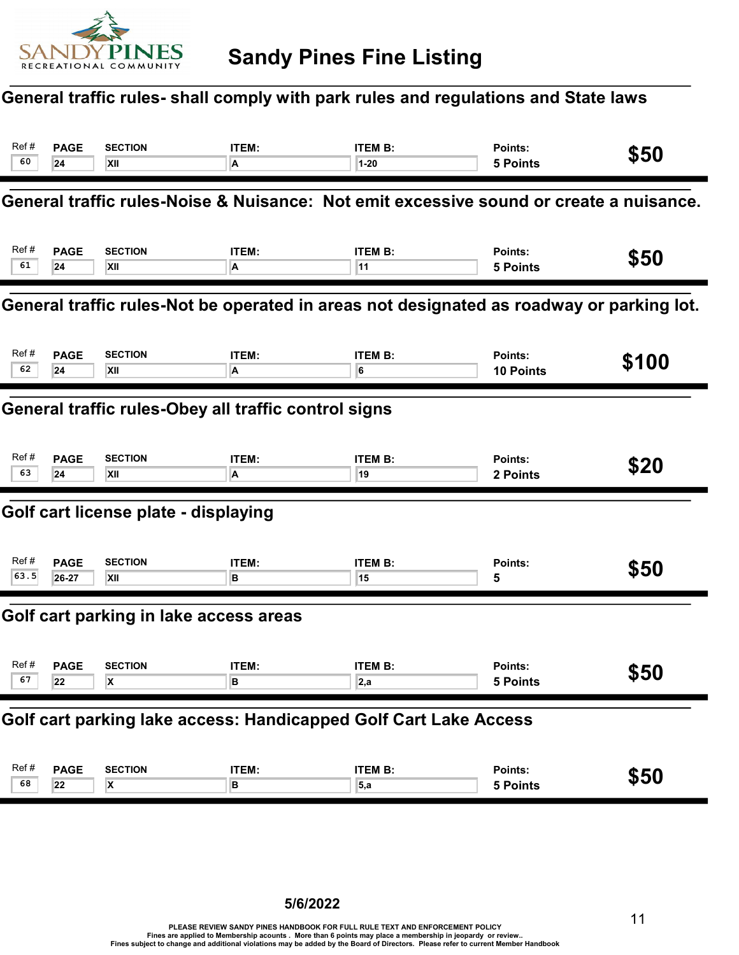

#### General traffic rules- shall comply with park rules and regulations and State laws

| Ref#                                                                                     | <b>PAGE</b>                                                      | <b>SECTION</b>                         | ITEM: | <b>ITEM B:</b>                                                                         | Points:          | \$50  |  |  |
|------------------------------------------------------------------------------------------|------------------------------------------------------------------|----------------------------------------|-------|----------------------------------------------------------------------------------------|------------------|-------|--|--|
| 60                                                                                       | 24                                                               | XII                                    | A     | $1 - 20$                                                                               | <b>5 Points</b>  |       |  |  |
|                                                                                          |                                                                  |                                        |       | General traffic rules-Noise & Nuisance: Not emit excessive sound or create a nuisance. |                  |       |  |  |
| Ref#                                                                                     | <b>PAGE</b>                                                      | <b>SECTION</b>                         | ITEM: | <b>ITEM B:</b>                                                                         | Points:          | \$50  |  |  |
| 61                                                                                       | 24                                                               | XII                                    | A     | 11                                                                                     | <b>5 Points</b>  |       |  |  |
| General traffic rules-Not be operated in areas not designated as roadway or parking lot. |                                                                  |                                        |       |                                                                                        |                  |       |  |  |
| Ref #                                                                                    | <b>PAGE</b>                                                      | <b>SECTION</b>                         | ITEM: | <b>ITEM B:</b>                                                                         | Points:          | \$100 |  |  |
| 62                                                                                       | 24                                                               | XII                                    | A     | 6                                                                                      | <b>10 Points</b> |       |  |  |
|                                                                                          | General traffic rules-Obey all traffic control signs             |                                        |       |                                                                                        |                  |       |  |  |
| Ref#                                                                                     | <b>PAGE</b>                                                      | <b>SECTION</b>                         | ITEM: | <b>ITEM B:</b>                                                                         | Points:          | \$20  |  |  |
| 63                                                                                       | 24                                                               | XII                                    | A     | 19                                                                                     | 2 Points         |       |  |  |
|                                                                                          |                                                                  | Golf cart license plate - displaying   |       |                                                                                        |                  |       |  |  |
| Ref#                                                                                     | <b>PAGE</b>                                                      | <b>SECTION</b>                         | ITEM: | <b>ITEM B:</b>                                                                         | Points:          | \$50  |  |  |
| 63.5                                                                                     | 26-27                                                            | XII                                    | в     | 15                                                                                     | 5                |       |  |  |
|                                                                                          |                                                                  | Golf cart parking in lake access areas |       |                                                                                        |                  |       |  |  |
| Ref#                                                                                     | <b>PAGE</b>                                                      | <b>SECTION</b>                         | ITEM: | <b>ITEM B:</b>                                                                         | Points:          | \$50  |  |  |
| 67                                                                                       | 22                                                               | X.                                     | R     | 2,a                                                                                    | <b>5 Points</b>  |       |  |  |
|                                                                                          | Golf cart parking lake access: Handicapped Golf Cart Lake Access |                                        |       |                                                                                        |                  |       |  |  |
| Ref#                                                                                     | <b>PAGE</b>                                                      | <b>SECTION</b>                         | ITEM: | <b>ITEM B:</b>                                                                         | Points:          | \$50  |  |  |
| 68                                                                                       | 22                                                               | X                                      | B     | 5, a                                                                                   | <b>5 Points</b>  |       |  |  |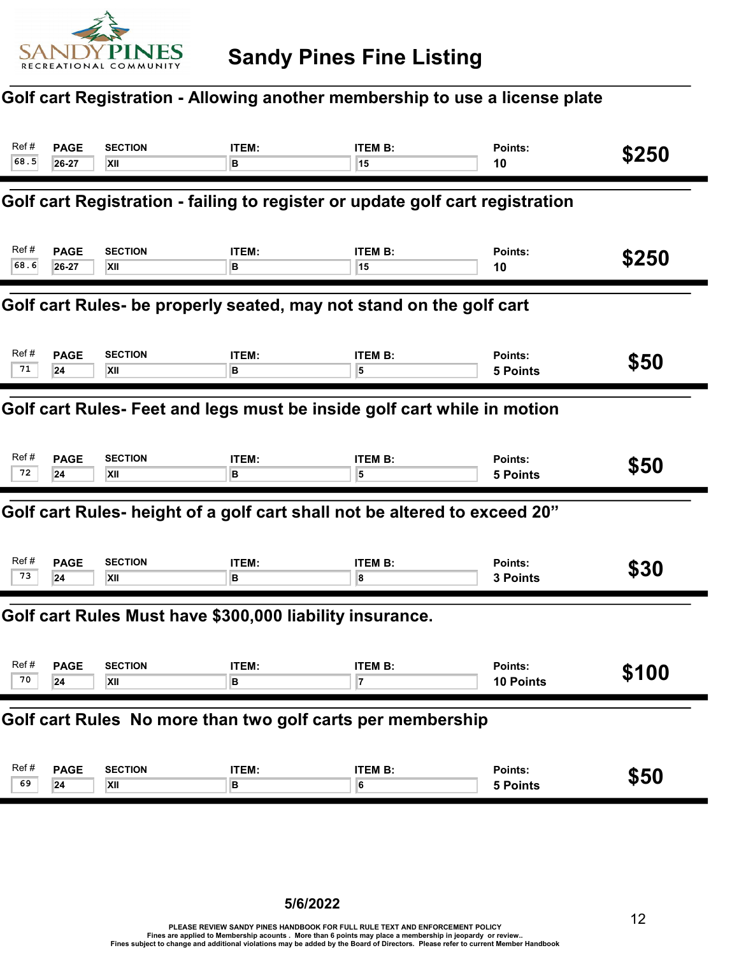

#### Golf cart Registration - Allowing another membership to use a license plate

| Ref#<br>68.5                                                            | <b>PAGE</b><br>26-27 | <b>SECTION</b><br>XII                                    | ITEM:<br>в | <b>ITEM B:</b><br>15                                                          | Points:<br>10               | \$250 |  |
|-------------------------------------------------------------------------|----------------------|----------------------------------------------------------|------------|-------------------------------------------------------------------------------|-----------------------------|-------|--|
|                                                                         |                      |                                                          |            | Golf cart Registration - failing to register or update golf cart registration |                             |       |  |
| Ref #<br>68.6                                                           | <b>PAGE</b><br>26-27 | <b>SECTION</b><br>XII                                    | ITEM:<br>в | <b>ITEM B:</b><br>15                                                          | Points:<br>10               | \$250 |  |
| Golf cart Rules- be properly seated, may not stand on the golf cart     |                      |                                                          |            |                                                                               |                             |       |  |
| Ref#<br>71                                                              | <b>PAGE</b><br>24    | <b>SECTION</b><br>XII                                    | ITEM:<br>в | <b>ITEM B:</b><br>5                                                           | Points:<br><b>5 Points</b>  | \$50  |  |
| Golf cart Rules- Feet and legs must be inside golf cart while in motion |                      |                                                          |            |                                                                               |                             |       |  |
| Ref#<br>72                                                              | <b>PAGE</b><br>24    | <b>SECTION</b><br>XII                                    | ITEM:<br>в | <b>ITEM B:</b><br>5                                                           | Points:<br><b>5 Points</b>  | \$50  |  |
|                                                                         |                      |                                                          |            | Golf cart Rules- height of a golf cart shall not be altered to exceed 20"     |                             |       |  |
| Ref#<br>73                                                              | <b>PAGE</b><br>24    | <b>SECTION</b><br>XII                                    | ITEM:<br>в | <b>ITEM B:</b><br>8                                                           | Points:<br>3 Points         | \$30  |  |
|                                                                         |                      | Golf cart Rules Must have \$300,000 liability insurance. |            |                                                                               |                             |       |  |
| Ref #<br>70                                                             | <b>PAGE</b><br>24    | <b>SECTION</b><br>XII                                    | ITEM:<br>в | <b>ITEM B:</b>                                                                | Points:<br><b>10 Points</b> | \$100 |  |
| Golf cart Rules No more than two golf carts per membership              |                      |                                                          |            |                                                                               |                             |       |  |
| Ref#<br>69                                                              | <b>PAGE</b><br>24    | <b>SECTION</b><br>XII                                    | ITEM:<br>в | <b>ITEM B:</b><br>6                                                           | Points:<br><b>5 Points</b>  | \$50  |  |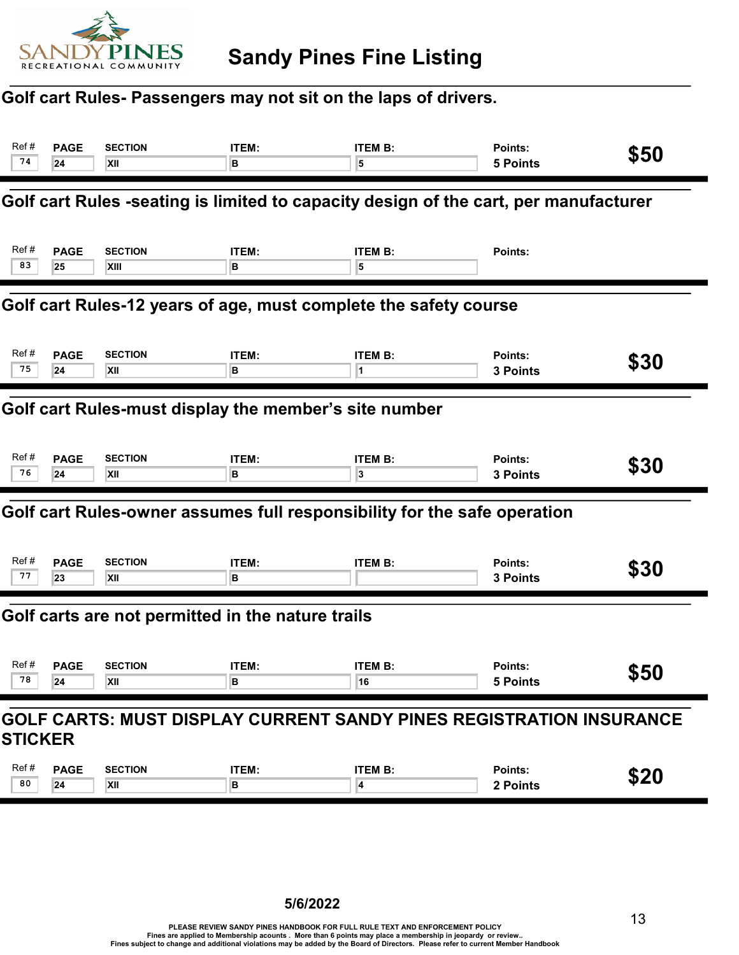

#### Golf cart Rules- Passengers may not sit on the laps of drivers.

| Ref#<br>74                                                                            | <b>PAGE</b><br>24                                                                    | <b>SECTION</b><br>XII  | ITEM:<br>в        | <b>ITEM B:</b><br>5                                                      | Points:<br><b>5 Points</b> | \$50 |  |  |  |
|---------------------------------------------------------------------------------------|--------------------------------------------------------------------------------------|------------------------|-------------------|--------------------------------------------------------------------------|----------------------------|------|--|--|--|
|                                                                                       | Golf cart Rules -seating is limited to capacity design of the cart, per manufacturer |                        |                   |                                                                          |                            |      |  |  |  |
| Ref#<br>83                                                                            | <b>PAGE</b><br>25                                                                    | <b>SECTION</b><br>XIII | ITEM:<br>в        | <b>ITEM B:</b><br>5                                                      | Points:                    |      |  |  |  |
|                                                                                       | Golf cart Rules-12 years of age, must complete the safety course                     |                        |                   |                                                                          |                            |      |  |  |  |
| Ref#<br>75                                                                            | <b>PAGE</b><br>24                                                                    | <b>SECTION</b><br>XII  | ITEM:<br>в        | <b>ITEM B:</b><br>1                                                      | Points:<br>3 Points        | \$30 |  |  |  |
|                                                                                       | Golf cart Rules-must display the member's site number                                |                        |                   |                                                                          |                            |      |  |  |  |
| Ref#<br>76                                                                            | <b>PAGE</b><br>24                                                                    | <b>SECTION</b><br>XII  | ITEM:<br>в        | <b>ITEM B:</b><br>3                                                      | Points:<br>3 Points        | \$30 |  |  |  |
|                                                                                       |                                                                                      |                        |                   | Golf cart Rules-owner assumes full responsibility for the safe operation |                            |      |  |  |  |
| Ref #<br>77                                                                           | <b>PAGE</b><br>23                                                                    | <b>SECTION</b><br>XII  | ITEM:<br>в        | <b>ITEM B:</b>                                                           | Points:<br>3 Points        | \$30 |  |  |  |
|                                                                                       | Golf carts are not permitted in the nature trails                                    |                        |                   |                                                                          |                            |      |  |  |  |
| Ref #<br>78                                                                           | <b>PAGE</b><br>24                                                                    | <b>SECTION</b><br>XII  | <b>ITEM:</b><br>в | <b>ITEM B:</b><br>16                                                     | Points:<br>5 Points        | \$50 |  |  |  |
| GOLF CARTS: MUST DISPLAY CURRENT SANDY PINES REGISTRATION INSURANCE<br><b>STICKER</b> |                                                                                      |                        |                   |                                                                          |                            |      |  |  |  |
|                                                                                       |                                                                                      |                        |                   |                                                                          |                            |      |  |  |  |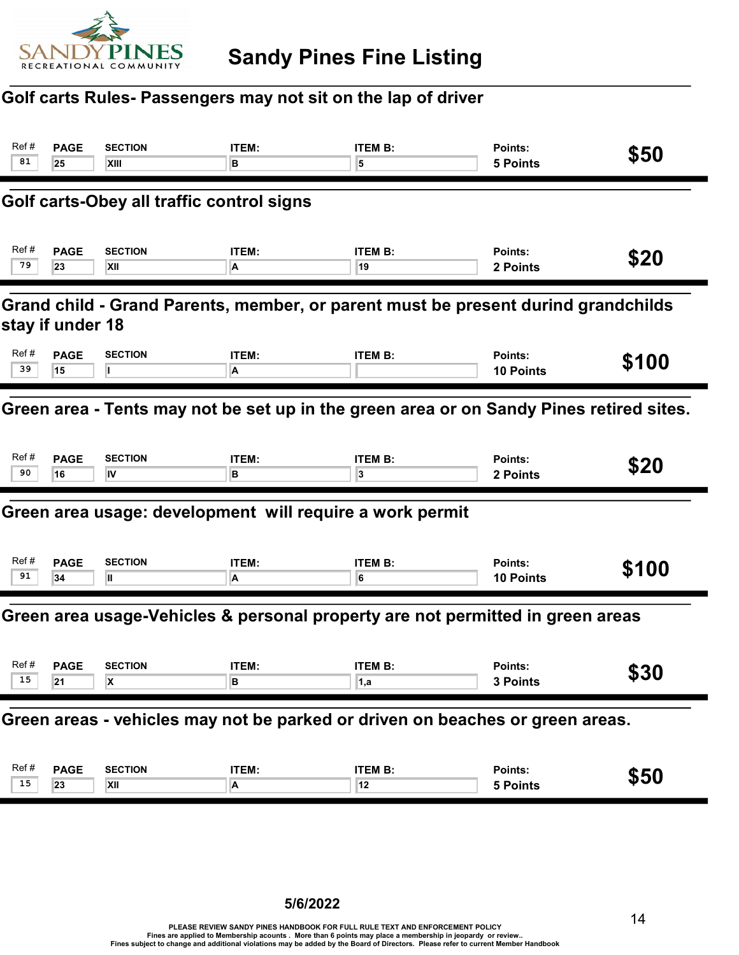

#### Golf carts Rules- Passengers may not sit on the lap of driver

| Ref#<br>81                                                                                            | <b>PAGE</b><br>25 | <b>SECTION</b><br>XIII                                   | ITEM:<br>в | <b>ITEM B:</b><br>5                                                            | Points:<br><b>5 Points</b>  | \$50  |  |
|-------------------------------------------------------------------------------------------------------|-------------------|----------------------------------------------------------|------------|--------------------------------------------------------------------------------|-----------------------------|-------|--|
|                                                                                                       |                   | Golf carts-Obey all traffic control signs                |            |                                                                                |                             |       |  |
| Ref#<br>79                                                                                            | <b>PAGE</b><br>23 | <b>SECTION</b><br><b>XII</b>                             | ITEM:<br>A | <b>ITEM B:</b><br>19                                                           | Points:<br>2 Points         | \$20  |  |
| Grand child - Grand Parents, member, or parent must be present durind grandchilds<br>stay if under 18 |                   |                                                          |            |                                                                                |                             |       |  |
| Ref#<br>39                                                                                            | <b>PAGE</b><br>15 | <b>SECTION</b>                                           | ITEM:<br>A | <b>ITEM B:</b>                                                                 | Points:<br><b>10 Points</b> | \$100 |  |
| Green area - Tents may not be set up in the green area or on Sandy Pines retired sites.               |                   |                                                          |            |                                                                                |                             |       |  |
| Ref#<br>90                                                                                            | <b>PAGE</b><br>16 | <b>SECTION</b><br>ΙV                                     | ITEM:<br>в | <b>ITEM B:</b><br>3                                                            | Points:<br>2 Points         | \$20  |  |
|                                                                                                       |                   | Green area usage: development will require a work permit |            |                                                                                |                             |       |  |
| Ref#<br>91                                                                                            | <b>PAGE</b><br>34 | <b>SECTION</b><br>Ш                                      | ITEM:<br>A | <b>ITEM B:</b><br>6                                                            | Points:<br><b>10 Points</b> | \$100 |  |
|                                                                                                       |                   |                                                          |            | Green area usage-Vehicles & personal property are not permitted in green areas |                             |       |  |
| Ref#<br>15                                                                                            | <b>PAGE</b><br>21 | <b>SECTION</b><br>X                                      | ITEM:<br>В | <b>ITEM B:</b><br>1,a                                                          | Points:<br>3 Points         | \$30  |  |
|                                                                                                       |                   |                                                          |            | Green areas - vehicles may not be parked or driven on beaches or green areas.  |                             |       |  |
| Ref#<br>15                                                                                            | <b>PAGE</b><br>23 | <b>SECTION</b><br>$\mathsf{X}$ ll                        | ITEM:<br>A | <b>ITEM B:</b><br>12                                                           | Points:<br><b>5 Points</b>  | \$50  |  |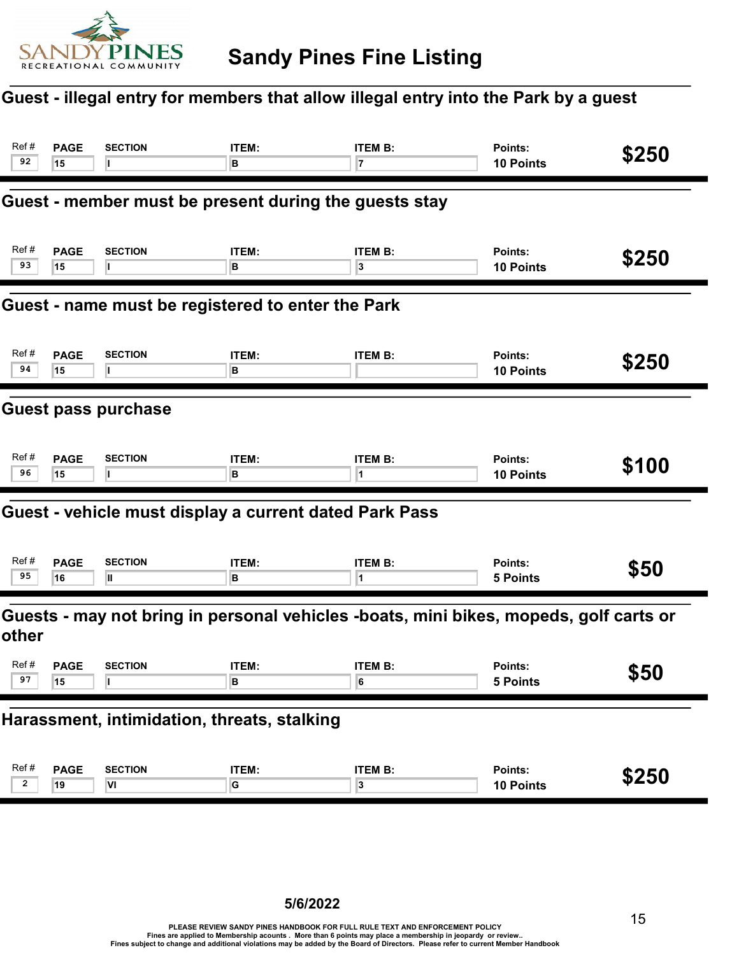

## Guest - illegal entry for members that allow illegal entry into the Park by a guest

| Ref#<br>92                                        | <b>PAGE</b><br>15                           | <b>SECTION</b>                                         | ITEM:<br>в           | <b>ITEM B:</b><br>7                                                                   | Points:<br>10 Points        | \$250 |  |  |
|---------------------------------------------------|---------------------------------------------|--------------------------------------------------------|----------------------|---------------------------------------------------------------------------------------|-----------------------------|-------|--|--|
|                                                   |                                             | Guest - member must be present during the guests stay  |                      |                                                                                       |                             |       |  |  |
| Ref#<br>93                                        | <b>PAGE</b><br>15                           | <b>SECTION</b>                                         | ITEM:<br>в           | <b>ITEM B:</b><br>3                                                                   | Points:<br>10 Points        | \$250 |  |  |
| Guest - name must be registered to enter the Park |                                             |                                                        |                      |                                                                                       |                             |       |  |  |
| Ref#<br>94                                        | <b>PAGE</b><br>15                           | <b>SECTION</b>                                         | ITEM:<br>в           | <b>ITEM B:</b>                                                                        | Points:<br><b>10 Points</b> | \$250 |  |  |
| <b>Guest pass purchase</b>                        |                                             |                                                        |                      |                                                                                       |                             |       |  |  |
| Ref#<br>96                                        | <b>PAGE</b><br>15                           | <b>SECTION</b>                                         | ITEM:<br>в           | <b>ITEM B:</b><br>1                                                                   | Points:<br>10 Points        | \$100 |  |  |
|                                                   |                                             | Guest - vehicle must display a current dated Park Pass |                      |                                                                                       |                             |       |  |  |
| Ref#<br>95                                        | <b>PAGE</b><br>16                           | <b>SECTION</b><br>Ш                                    | ITEM:<br>в           | <b>ITEM B:</b><br>1                                                                   | Points:<br><b>5 Points</b>  | \$50  |  |  |
| other                                             |                                             |                                                        |                      | Guests - may not bring in personal vehicles -boats, mini bikes, mopeds, golf carts or |                             |       |  |  |
| Ref#<br>97                                        | <b>PAGE</b><br>15                           | <b>SECTION</b>                                         | ITEM:<br>В           | <b>ITEM B:</b><br>6                                                                   | Points:<br><b>5 Points</b>  | \$50  |  |  |
|                                                   | Harassment, intimidation, threats, stalking |                                                        |                      |                                                                                       |                             |       |  |  |
| Ref#<br>$\mathbf{2}$                              | <b>PAGE</b><br>19                           | <b>SECTION</b><br>VI                                   | ITEM:<br>$\mathsf G$ | <b>ITEM B:</b><br>$\overline{\mathbf{3}}$                                             | Points:<br>10 Points        | \$250 |  |  |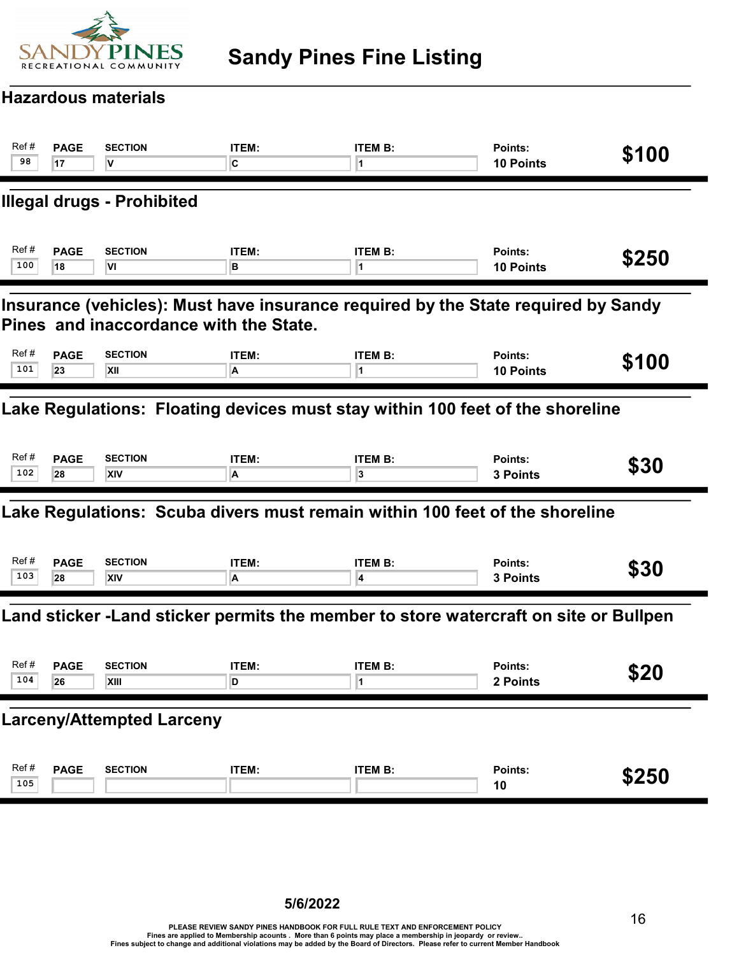

# Sandy Pines Fine Listing

#### Hazardous materials

| Ref#<br>98                                                                                                                  | <b>PAGE</b><br>17 | <b>SECTION</b><br>V               | <b>ITEM:</b><br>C | <b>ITEM B:</b><br>1                                                                  | Points:<br>10 Points        | \$100 |  |  |
|-----------------------------------------------------------------------------------------------------------------------------|-------------------|-----------------------------------|-------------------|--------------------------------------------------------------------------------------|-----------------------------|-------|--|--|
|                                                                                                                             |                   | <b>Illegal drugs - Prohibited</b> |                   |                                                                                      |                             |       |  |  |
| Ref#<br>100                                                                                                                 | <b>PAGE</b><br>18 | <b>SECTION</b><br>l۷ı             | ITEM:<br>в        | <b>ITEM B:</b><br>11.                                                                | Points:<br><b>10 Points</b> | \$250 |  |  |
| Insurance (vehicles): Must have insurance required by the State required by Sandy<br>Pines and inaccordance with the State. |                   |                                   |                   |                                                                                      |                             |       |  |  |
| Ref#<br>101                                                                                                                 | <b>PAGE</b><br>23 | <b>SECTION</b><br>XII             | ITEM:<br>A        | <b>ITEM B:</b>                                                                       | Points:<br><b>10 Points</b> | \$100 |  |  |
| Lake Regulations: Floating devices must stay within 100 feet of the shoreline                                               |                   |                                   |                   |                                                                                      |                             |       |  |  |
| Ref#<br>102                                                                                                                 | <b>PAGE</b><br>28 | <b>SECTION</b><br>XIV             | <b>ITEM:</b><br>A | <b>ITEM B:</b><br>3                                                                  | Points:<br>3 Points         | \$30  |  |  |
|                                                                                                                             |                   |                                   |                   | Lake Regulations: Scuba divers must remain within 100 feet of the shoreline          |                             |       |  |  |
| Ref#<br>103                                                                                                                 | <b>PAGE</b><br>28 | <b>SECTION</b><br><b>XIV</b>      | ITEM:<br>A        | <b>ITEM B:</b><br>4                                                                  | Points:<br>3 Points         | \$30  |  |  |
|                                                                                                                             |                   |                                   |                   | Land sticker -Land sticker permits the member to store watercraft on site or Bullpen |                             |       |  |  |
| Ref#<br>104                                                                                                                 | <b>PAGE</b><br>26 | <b>SECTION</b><br>XIII            | ITEM:<br>D        | <b>ITEM B:</b><br>1                                                                  | Points:<br>2 Points         | \$20  |  |  |
|                                                                                                                             |                   | <b>Larceny/Attempted Larceny</b>  |                   |                                                                                      |                             |       |  |  |
| Ref#<br>105                                                                                                                 | <b>PAGE</b>       | <b>SECTION</b>                    | ITEM:             | <b>ITEM B:</b>                                                                       | Points:<br>10               | \$250 |  |  |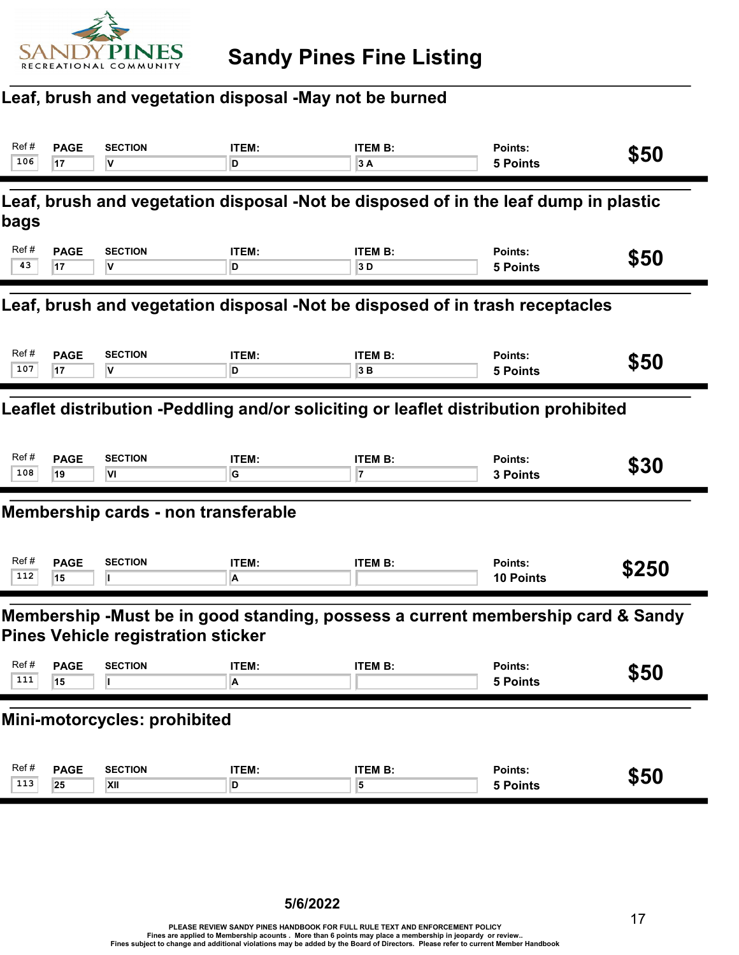

## Leaf, brush and vegetation disposal -May not be burned

| Ref #<br>106                                                                 | <b>PAGE</b><br>17                                                                                                            | <b>SECTION</b><br>V                 | ITEM:<br>D | <b>ITEM B:</b><br>3A                                                                | Points:<br><b>5 Points</b>  | \$50  |  |  |
|------------------------------------------------------------------------------|------------------------------------------------------------------------------------------------------------------------------|-------------------------------------|------------|-------------------------------------------------------------------------------------|-----------------------------|-------|--|--|
| bags                                                                         |                                                                                                                              |                                     |            | Leaf, brush and vegetation disposal -Not be disposed of in the leaf dump in plastic |                             |       |  |  |
| Ref#<br>43                                                                   | <b>PAGE</b><br>17                                                                                                            | <b>SECTION</b><br>V                 | ITEM:<br>D | <b>ITEM B:</b><br>3D                                                                | Points:<br><b>5 Points</b>  | \$50  |  |  |
| Leaf, brush and vegetation disposal -Not be disposed of in trash receptacles |                                                                                                                              |                                     |            |                                                                                     |                             |       |  |  |
| Ref #<br>107                                                                 | <b>PAGE</b><br>17                                                                                                            | <b>SECTION</b><br>v                 | ITEM:<br>D | <b>ITEM B:</b><br>3B                                                                | Points:<br><b>5 Points</b>  | \$50  |  |  |
|                                                                              | Leaflet distribution -Peddling and/or soliciting or leaflet distribution prohibited                                          |                                     |            |                                                                                     |                             |       |  |  |
| Ref #<br>108                                                                 | <b>PAGE</b><br>19                                                                                                            | <b>SECTION</b><br>VI                | ITEM:<br>G | <b>ITEM B:</b><br>17                                                                | Points:<br>3 Points         | \$30  |  |  |
|                                                                              |                                                                                                                              | Membership cards - non transferable |            |                                                                                     |                             |       |  |  |
| Ref #<br>112                                                                 | <b>PAGE</b><br>15                                                                                                            | <b>SECTION</b>                      | ITEM:<br>A | <b>ITEM B:</b>                                                                      | Points:<br><b>10 Points</b> | \$250 |  |  |
|                                                                              | Membership -Must be in good standing, possess a current membership card & Sandy<br><b>Pines Vehicle registration sticker</b> |                                     |            |                                                                                     |                             |       |  |  |
| Ref#<br>111                                                                  | <b>PAGE</b><br>15                                                                                                            | <b>SECTION</b>                      | ITEM:<br>A | <b>ITEM B:</b>                                                                      | Points:<br><b>5 Points</b>  | \$50  |  |  |
|                                                                              |                                                                                                                              | Mini-motorcycles: prohibited        |            |                                                                                     |                             |       |  |  |
| Ref#<br>113                                                                  | <b>PAGE</b><br>25                                                                                                            | <b>SECTION</b><br>XII               | ITEM:<br>D | <b>ITEM B:</b><br>5                                                                 | Points:<br><b>5 Points</b>  | \$50  |  |  |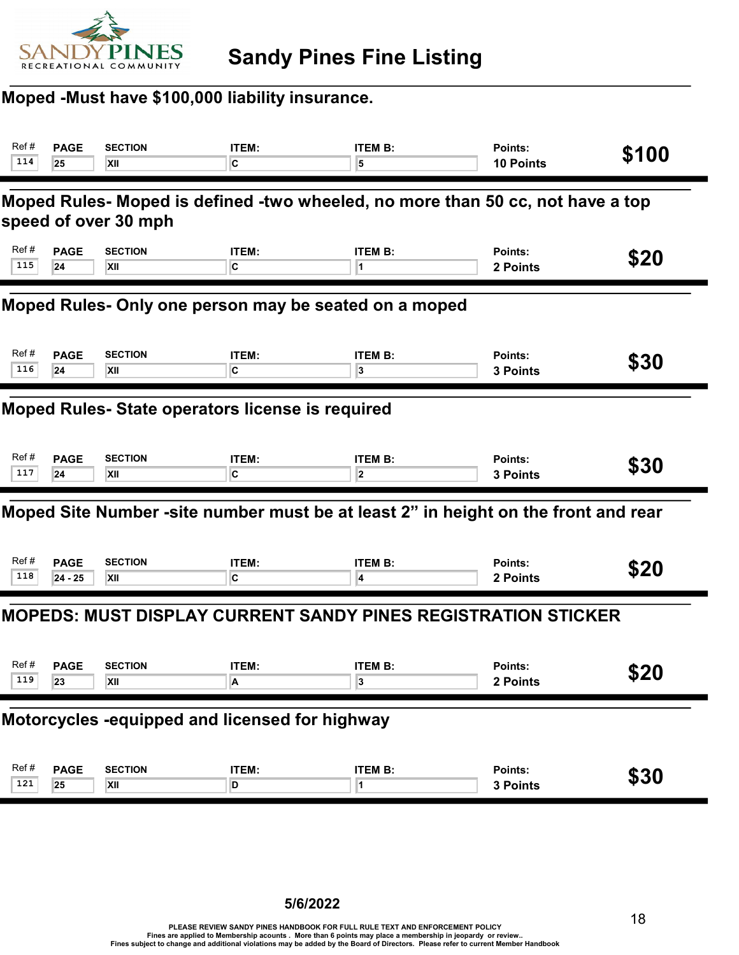

#### Moped -Must have \$100,000 liability insurance.

| Ref#                                                  | <b>PAGE</b>                                                                                            | <b>SECTION</b> | ITEM:        | <b>ITEM B:</b>                                                                     | Points:          | \$100 |  |  |  |
|-------------------------------------------------------|--------------------------------------------------------------------------------------------------------|----------------|--------------|------------------------------------------------------------------------------------|------------------|-------|--|--|--|
| 114                                                   | 25                                                                                                     | XII            | C            | 5                                                                                  | <b>10 Points</b> |       |  |  |  |
|                                                       | Moped Rules- Moped is defined -two wheeled, no more than 50 cc, not have a top<br>speed of over 30 mph |                |              |                                                                                    |                  |       |  |  |  |
| Ref #                                                 | <b>PAGE</b>                                                                                            | <b>SECTION</b> | <b>ITEM:</b> | <b>ITEM B:</b>                                                                     | Points:          | \$20  |  |  |  |
| 115                                                   | 24                                                                                                     | XII            | C            | 1                                                                                  | 2 Points         |       |  |  |  |
| Moped Rules- Only one person may be seated on a moped |                                                                                                        |                |              |                                                                                    |                  |       |  |  |  |
| Ref#                                                  | <b>PAGE</b>                                                                                            | <b>SECTION</b> | ITEM:        | <b>ITEM B:</b>                                                                     | Points:          | \$30  |  |  |  |
| 116                                                   | 24                                                                                                     | XII            | C            | 3                                                                                  | 3 Points         |       |  |  |  |
| Moped Rules- State operators license is required      |                                                                                                        |                |              |                                                                                    |                  |       |  |  |  |
| Ref#                                                  | <b>PAGE</b>                                                                                            | <b>SECTION</b> | ITEM:        | <b>ITEM B:</b>                                                                     | Points:          | \$30  |  |  |  |
| 117                                                   | 24                                                                                                     | XII            | C            | $\overline{2}$                                                                     | 3 Points         |       |  |  |  |
|                                                       |                                                                                                        |                |              | Moped Site Number -site number must be at least 2" in height on the front and rear |                  |       |  |  |  |
| Ref #                                                 | <b>PAGE</b>                                                                                            | <b>SECTION</b> | <b>ITEM:</b> | <b>ITEM B:</b>                                                                     | Points:          | \$20  |  |  |  |
| 118                                                   | $24 - 25$                                                                                              | XII            | C            | 4                                                                                  | 2 Points         |       |  |  |  |
|                                                       |                                                                                                        |                |              | <b>MOPEDS: MUST DISPLAY CURRENT SANDY PINES REGISTRATION STICKER</b>               |                  |       |  |  |  |
| Ref #                                                 | <b>PAGE</b>                                                                                            | <b>SECTION</b> | ITEM:        | <b>ITEM B:</b>                                                                     | Points:          | \$20  |  |  |  |
| 119                                                   | 23                                                                                                     | XII            | A            | 3                                                                                  | 2 Points         |       |  |  |  |
| Motorcycles -equipped and licensed for highway        |                                                                                                        |                |              |                                                                                    |                  |       |  |  |  |
| Ref#                                                  | <b>PAGE</b>                                                                                            | <b>SECTION</b> | <b>ITEM:</b> | <b>ITEM B:</b>                                                                     | Points:          | \$30  |  |  |  |
| 121                                                   | 25                                                                                                     | XII            | D            | 1                                                                                  | 3 Points         |       |  |  |  |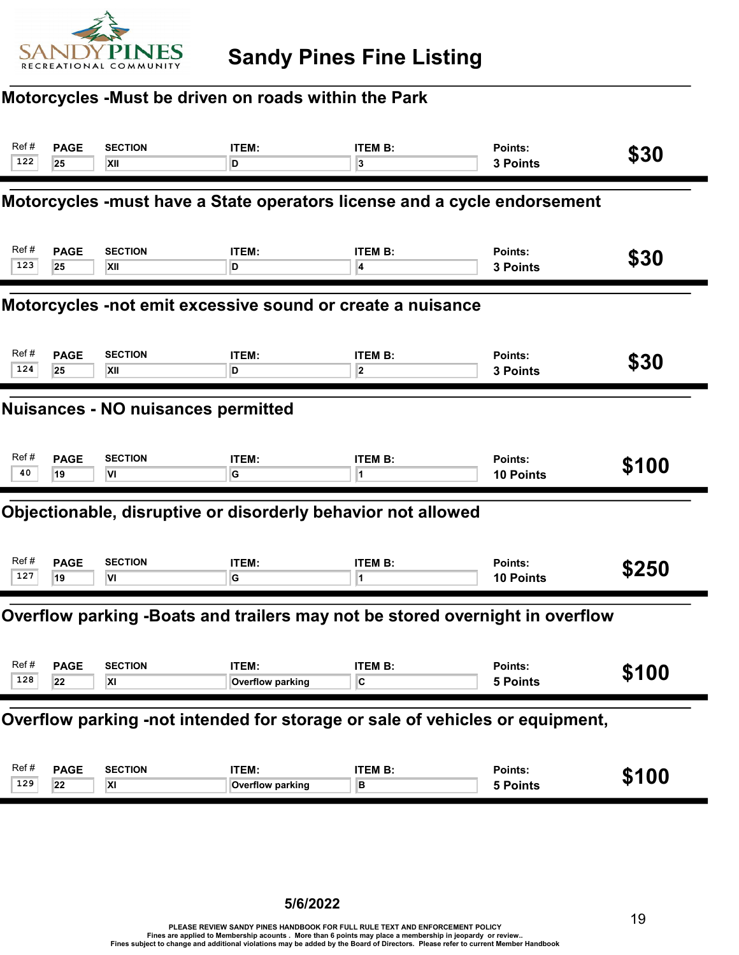

## Motorcycles -Must be driven on roads within the Park

| Ref#<br>122                                                | <b>PAGE</b><br>25 | <b>SECTION</b><br>XII            | ITEM:<br>D                       | <b>ITEM B:</b><br>3                                                          | Points:<br>3 Points         | \$30  |  |  |
|------------------------------------------------------------|-------------------|----------------------------------|----------------------------------|------------------------------------------------------------------------------|-----------------------------|-------|--|--|
|                                                            |                   |                                  |                                  | Motorcycles -must have a State operators license and a cycle endorsement     |                             |       |  |  |
| Ref#<br>123                                                | <b>PAGE</b><br>25 | <b>SECTION</b><br><b>XII</b>     | ITEM:<br>D                       | <b>ITEM B:</b><br>4                                                          | Points:<br><b>3 Points</b>  | \$30  |  |  |
| Motorcycles -not emit excessive sound or create a nuisance |                   |                                  |                                  |                                                                              |                             |       |  |  |
| Ref#<br>124                                                | <b>PAGE</b><br>25 | <b>SECTION</b><br>XII            | ITEM:<br>D                       | <b>ITEM B:</b><br>$\overline{\mathbf{2}}$                                    | Points:<br><b>3 Points</b>  | \$30  |  |  |
| <b>Nuisances - NO nuisances permitted</b>                  |                   |                                  |                                  |                                                                              |                             |       |  |  |
| Ref#<br>40                                                 | <b>PAGE</b><br>19 | <b>SECTION</b><br>VI             | ITEM:<br>G                       | <b>ITEM B:</b>                                                               | Points:<br><b>10 Points</b> | \$100 |  |  |
|                                                            |                   |                                  |                                  | Objectionable, disruptive or disorderly behavior not allowed                 |                             |       |  |  |
| Ref#<br>127                                                | <b>PAGE</b><br>19 | <b>SECTION</b><br>VI             | ITEM:<br>G                       | <b>ITEM B:</b><br>1                                                          | Points:<br>10 Points        | \$250 |  |  |
|                                                            |                   |                                  |                                  | Overflow parking -Boats and trailers may not be stored overnight in overflow |                             |       |  |  |
| Ref#<br>128                                                | <b>PAGE</b><br>22 | <b>SECTION</b><br>$\overline{X}$ | <b>ITEM:</b><br>Overflow parking | <b>ITEM B:</b>                                                               | Points:<br>5 Points         | \$100 |  |  |
|                                                            |                   |                                  |                                  | Overflow parking -not intended for storage or sale of vehicles or equipment, |                             |       |  |  |
| Ref#<br>129                                                | <b>PAGE</b><br>22 | <b>SECTION</b><br>$\overline{X}$ | ITEM:<br>Overflow parking        | <b>ITEM B:</b><br>B                                                          | Points:<br><b>5 Points</b>  | \$100 |  |  |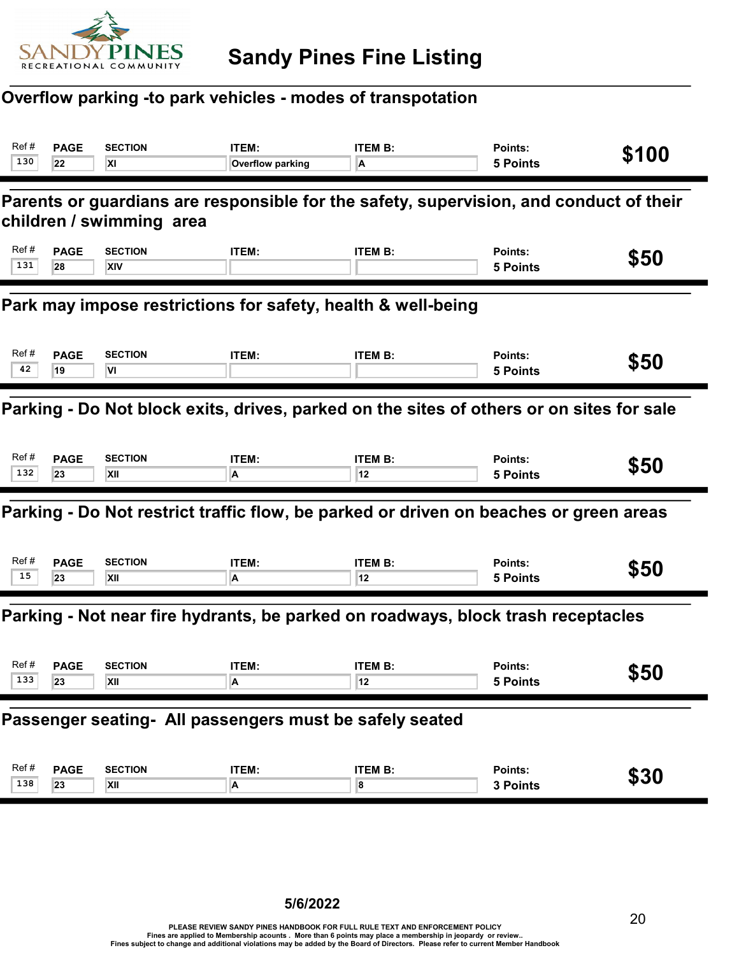

#### Overflow parking -to park vehicles - modes of transpotation

| Ref#<br>130                                                                              | <b>PAGE</b><br>22                                                                                                  | <b>SECTION</b><br>ΧI  | ITEM:<br>Overflow parking | <b>ITEM B:</b><br>A                                                                   | Points:<br><b>5 Points</b> | \$100 |  |  |  |
|------------------------------------------------------------------------------------------|--------------------------------------------------------------------------------------------------------------------|-----------------------|---------------------------|---------------------------------------------------------------------------------------|----------------------------|-------|--|--|--|
|                                                                                          | Parents or guardians are responsible for the safety, supervision, and conduct of their<br>children / swimming area |                       |                           |                                                                                       |                            |       |  |  |  |
| Ref#<br>131                                                                              | <b>PAGE</b><br>28                                                                                                  | <b>SECTION</b><br>XIV | ITEM:                     | <b>ITEM B:</b>                                                                        | Points:<br>5 Points        | \$50  |  |  |  |
| Park may impose restrictions for safety, health & well-being                             |                                                                                                                    |                       |                           |                                                                                       |                            |       |  |  |  |
| Ref#<br>42                                                                               | <b>PAGE</b><br>19                                                                                                  | <b>SECTION</b><br>VI  | ITEM:                     | <b>ITEM B:</b>                                                                        | Points:<br><b>5 Points</b> | \$50  |  |  |  |
| Parking - Do Not block exits, drives, parked on the sites of others or on sites for sale |                                                                                                                    |                       |                           |                                                                                       |                            |       |  |  |  |
| Ref#<br>132                                                                              | <b>PAGE</b><br>23                                                                                                  | <b>SECTION</b><br>XII | ITEM:<br>A                | <b>ITEM B:</b><br>12                                                                  | Points:<br><b>5 Points</b> | \$50  |  |  |  |
|                                                                                          |                                                                                                                    |                       |                           | Parking - Do Not restrict traffic flow, be parked or driven on beaches or green areas |                            |       |  |  |  |
| Ref#<br>15                                                                               | <b>PAGE</b><br>23                                                                                                  | <b>SECTION</b><br>XII | ITEM:<br>A                | <b>ITEM B:</b><br>12                                                                  | Points:<br><b>5 Points</b> | \$50  |  |  |  |
|                                                                                          |                                                                                                                    |                       |                           | Parking - Not near fire hydrants, be parked on roadways, block trash receptacles      |                            |       |  |  |  |
| Ref#<br>133                                                                              | <b>PAGE</b><br>23                                                                                                  | <b>SECTION</b><br>XII | ITEM:<br>A                | <b>ITEM B:</b><br>12                                                                  | Points:<br>5 Points        | \$50  |  |  |  |
|                                                                                          | Passenger seating- All passengers must be safely seated                                                            |                       |                           |                                                                                       |                            |       |  |  |  |
| Ref#<br>138                                                                              | <b>PAGE</b><br>23                                                                                                  | <b>SECTION</b><br>XII | ITEM:<br>A                | <b>ITEM B:</b><br>8                                                                   | Points:<br>3 Points        | \$30  |  |  |  |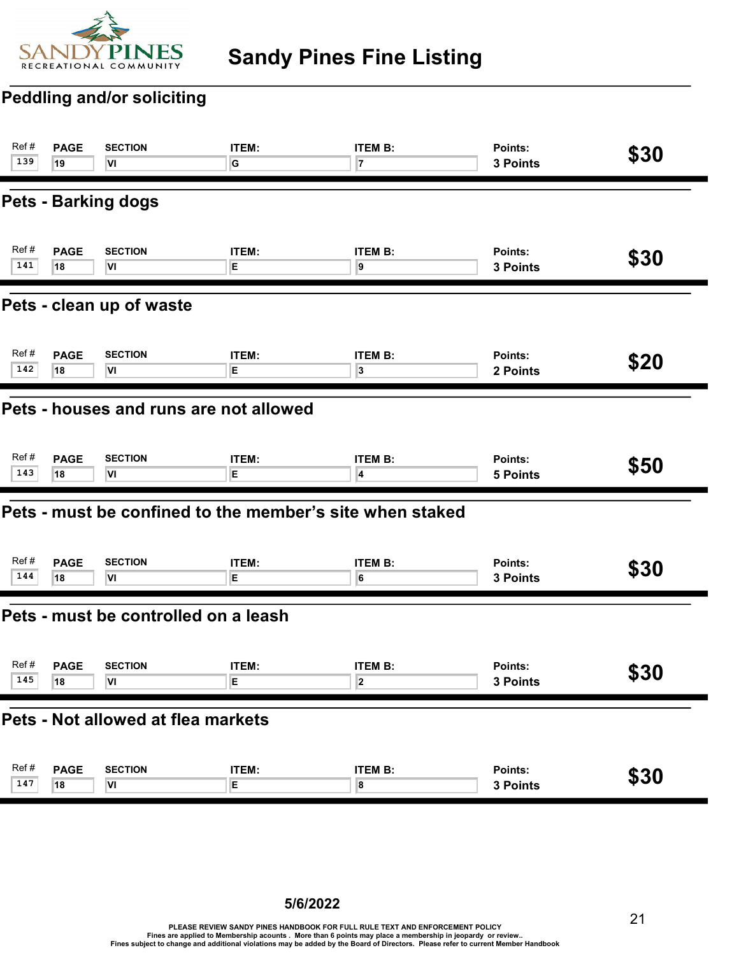

## Sandy Pines Fine Listing

#### Peddling and/or soliciting

| Ref#                                   | <b>PAGE</b> | <b>SECTION</b>                                           | ITEM: | <b>ITEM B:</b> | Points:         | \$30 |  |
|----------------------------------------|-------------|----------------------------------------------------------|-------|----------------|-----------------|------|--|
| 139                                    | 19          | VI                                                       | G     | 7              | 3 Points        |      |  |
|                                        |             | <b>Pets - Barking dogs</b>                               |       |                |                 |      |  |
| Ref#                                   | <b>PAGE</b> | <b>SECTION</b>                                           | ITEM: | <b>ITEM B:</b> | Points:         | \$30 |  |
| 141                                    | 18          | VI                                                       | E     | 9              | 3 Points        |      |  |
| Pets - clean up of waste               |             |                                                          |       |                |                 |      |  |
| Ref#                                   | <b>PAGE</b> | <b>SECTION</b>                                           | ITEM: | <b>ITEM B:</b> | Points:         | \$20 |  |
| 142                                    | 18          | VI                                                       | E.    | 3              | 2 Points        |      |  |
| Pets - houses and runs are not allowed |             |                                                          |       |                |                 |      |  |
| Ref#                                   | <b>PAGE</b> | <b>SECTION</b>                                           | ITEM: | <b>ITEM B:</b> | Points:         | \$50 |  |
| 143                                    | 18          | VI                                                       | Е     | 4              | <b>5 Points</b> |      |  |
|                                        |             | Pets - must be confined to the member's site when staked |       |                |                 |      |  |
| Ref#                                   | <b>PAGE</b> | <b>SECTION</b>                                           | ITEM: | <b>ITEM B:</b> | Points:         | \$30 |  |
| 144                                    | 18          | VI                                                       | E     | 6              | 3 Points        |      |  |
|                                        |             | Pets - must be controlled on a leash                     |       |                |                 |      |  |
| Ref#                                   | <b>PAGE</b> | <b>SECTION</b>                                           | ITEM: | <b>ITEM B:</b> | Points:         | \$30 |  |
| 145                                    | 18          | VI                                                       | Ε     | 2              | 3 Points        |      |  |
|                                        |             | Pets - Not allowed at flea markets                       |       |                |                 |      |  |
| Ref#                                   | <b>PAGE</b> | <b>SECTION</b>                                           | ITEM: | <b>ITEM B:</b> | Points:         | \$30 |  |
| 147                                    | 18          | VI                                                       | E     | 8              | 3 Points        |      |  |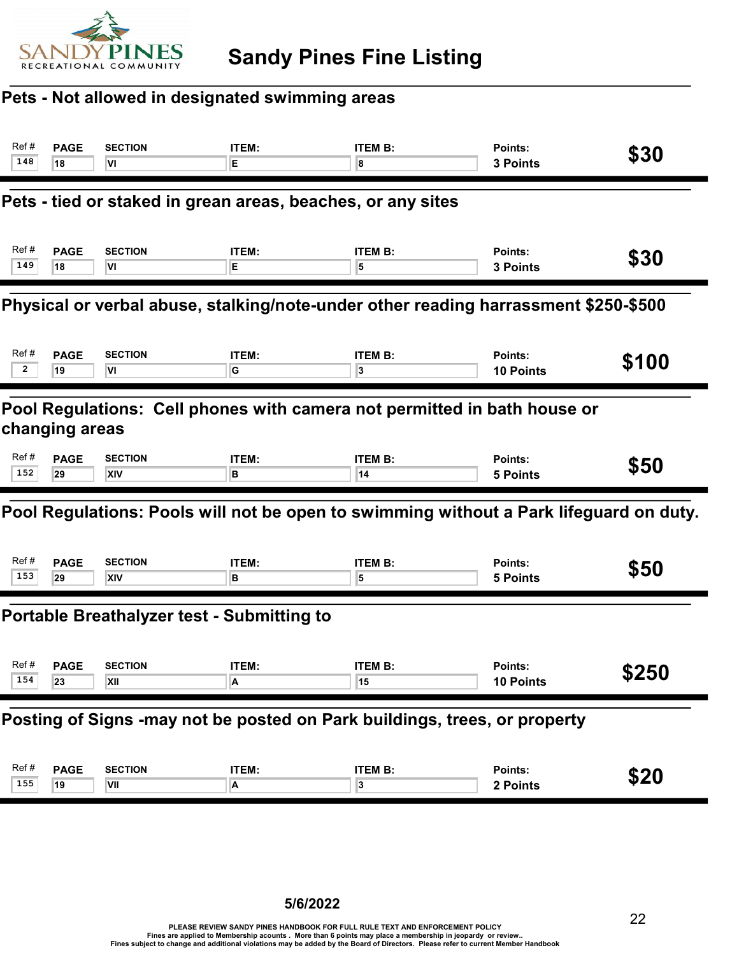

## Pets - Not allowed in designated swimming areas

| Ref#                                                                                       | <b>PAGE</b>                                                                         | <b>SECTION</b>                                              | ITEM: | <b>ITEM B:</b>                                                                         | Points:          | \$30  |  |  |
|--------------------------------------------------------------------------------------------|-------------------------------------------------------------------------------------|-------------------------------------------------------------|-------|----------------------------------------------------------------------------------------|------------------|-------|--|--|
| 148                                                                                        | 18                                                                                  | VI                                                          | E.    | 8                                                                                      | 3 Points         |       |  |  |
|                                                                                            |                                                                                     | Pets - tied or staked in grean areas, beaches, or any sites |       |                                                                                        |                  |       |  |  |
| Ref#                                                                                       | <b>PAGE</b>                                                                         | <b>SECTION</b>                                              | ITEM: | <b>ITEM B:</b>                                                                         | Points:          | \$30  |  |  |
| 149                                                                                        | 18                                                                                  | ΙVΙ                                                         | Е     | 5                                                                                      | 3 Points         |       |  |  |
|                                                                                            | Physical or verbal abuse, stalking/note-under other reading harrassment \$250-\$500 |                                                             |       |                                                                                        |                  |       |  |  |
| Ref#                                                                                       | <b>PAGE</b>                                                                         | <b>SECTION</b>                                              | ITEM: | <b>ITEM B:</b>                                                                         | Points:          | \$100 |  |  |
| $\overline{2}$                                                                             | 19                                                                                  | VI                                                          | G     | 3                                                                                      | <b>10 Points</b> |       |  |  |
| Pool Regulations: Cell phones with camera not permitted in bath house or<br>changing areas |                                                                                     |                                                             |       |                                                                                        |                  |       |  |  |
| Ref#                                                                                       | <b>PAGE</b>                                                                         | <b>SECTION</b>                                              | ITEM: | <b>ITEM B:</b>                                                                         | Points:          | \$50  |  |  |
| 152                                                                                        | 29                                                                                  | XIV                                                         | в     | 14                                                                                     | <b>5 Points</b>  |       |  |  |
|                                                                                            |                                                                                     |                                                             |       | Pool Regulations: Pools will not be open to swimming without a Park lifeguard on duty. |                  |       |  |  |
| Ref#                                                                                       | <b>PAGE</b>                                                                         | <b>SECTION</b>                                              | ITEM: | <b>ITEM B:</b>                                                                         | Points:          | \$50  |  |  |
| 153                                                                                        | 29                                                                                  | <b>XIV</b>                                                  | В     | 5                                                                                      | <b>5 Points</b>  |       |  |  |
|                                                                                            |                                                                                     | <b>Portable Breathalyzer test - Submitting to</b>           |       |                                                                                        |                  |       |  |  |
| Ref#                                                                                       | <b>PAGE</b>                                                                         | <b>SECTION</b>                                              | ITEM: | <b>ITEM B:</b>                                                                         | Points:          | \$250 |  |  |
| 154                                                                                        | 23                                                                                  | XII                                                         | A     | 15                                                                                     | <b>10 Points</b> |       |  |  |
| Posting of Signs -may not be posted on Park buildings, trees, or property                  |                                                                                     |                                                             |       |                                                                                        |                  |       |  |  |
| Ref#                                                                                       | <b>PAGE</b>                                                                         | <b>SECTION</b>                                              | ITEM: | <b>ITEM B:</b>                                                                         | Points:          | \$20  |  |  |
| 155                                                                                        | 19                                                                                  | VII                                                         | A     | 3                                                                                      | 2 Points         |       |  |  |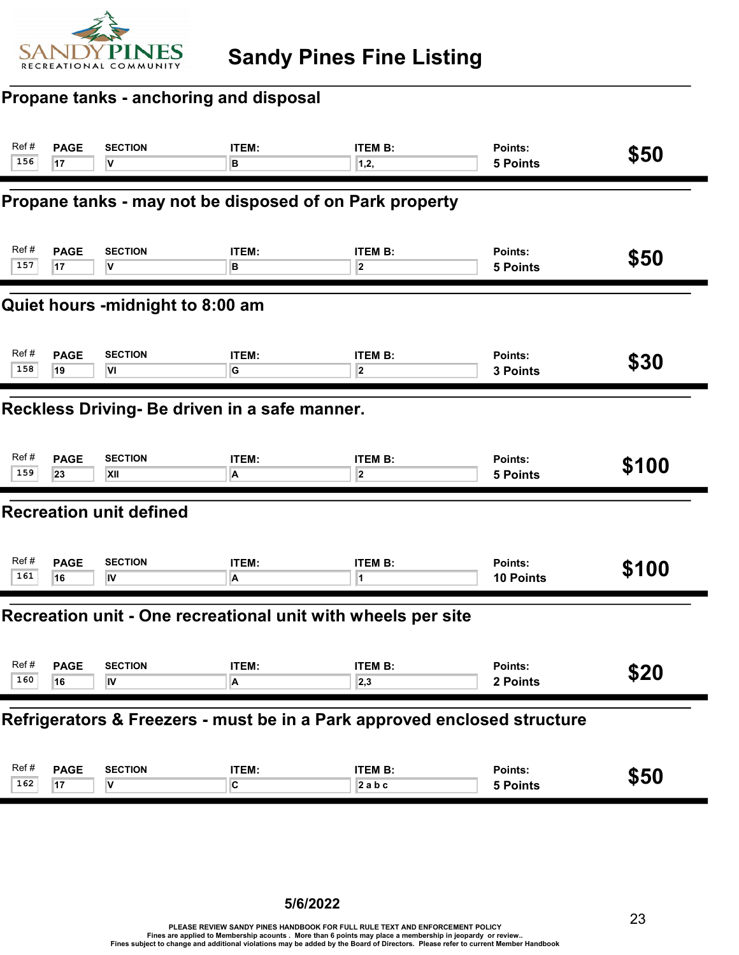

#### Propane tanks - anchoring and disposal

| Ref #<br>156                     | <b>PAGE</b><br>17                             | <b>SECTION</b><br>v                                     | ITEM:<br>в | <b>ITEM B:</b><br>1,2,                                                   | Points:<br>5 Points        | \$50  |  |  |  |
|----------------------------------|-----------------------------------------------|---------------------------------------------------------|------------|--------------------------------------------------------------------------|----------------------------|-------|--|--|--|
|                                  |                                               | Propane tanks - may not be disposed of on Park property |            |                                                                          |                            |       |  |  |  |
| Ref#<br>157                      | <b>PAGE</b><br>17                             | <b>SECTION</b><br>٧                                     | ITEM:<br>в | <b>ITEM B:</b><br>$\overline{\mathbf{2}}$                                | Points:<br>5 Points        | \$50  |  |  |  |
| Quiet hours -midnight to 8:00 am |                                               |                                                         |            |                                                                          |                            |       |  |  |  |
| Ref#<br>158                      | <b>PAGE</b><br>19                             | <b>SECTION</b><br>VI                                    | ITEM:<br>G | <b>ITEM B:</b><br>$\overline{\mathbf{2}}$                                | Points:<br>3 Points        | \$30  |  |  |  |
|                                  | Reckless Driving- Be driven in a safe manner. |                                                         |            |                                                                          |                            |       |  |  |  |
| Ref#<br>159                      | <b>PAGE</b><br>23                             | <b>SECTION</b><br>XII                                   | ITEM:<br>A | <b>ITEM B:</b><br>2                                                      | Points:<br><b>5 Points</b> | \$100 |  |  |  |
|                                  |                                               | <b>Recreation unit defined</b>                          |            |                                                                          |                            |       |  |  |  |
| Ref#<br>161                      | <b>PAGE</b><br>16                             | <b>SECTION</b><br>IV                                    | ITEM:<br>A | <b>ITEM B:</b><br>1                                                      | Points:<br>10 Points       | \$100 |  |  |  |
|                                  |                                               |                                                         |            | Recreation unit - One recreational unit with wheels per site             |                            |       |  |  |  |
| Ref#<br>$160 \boxed{16}$         | <b>PAGE</b>                                   | <b>SECTION</b><br>IV                                    | ITEM:<br>A | <b>ITEM B:</b><br> 2,3                                                   | Points:<br>2 Points        | \$20  |  |  |  |
|                                  |                                               |                                                         |            | Refrigerators & Freezers - must be in a Park approved enclosed structure |                            |       |  |  |  |
| Ref#<br>162                      | <b>PAGE</b><br>17                             | <b>SECTION</b><br>V                                     | ITEM:<br>C | <b>ITEM B:</b><br>$2$ a b c                                              | Points:<br>5 Points        | \$50  |  |  |  |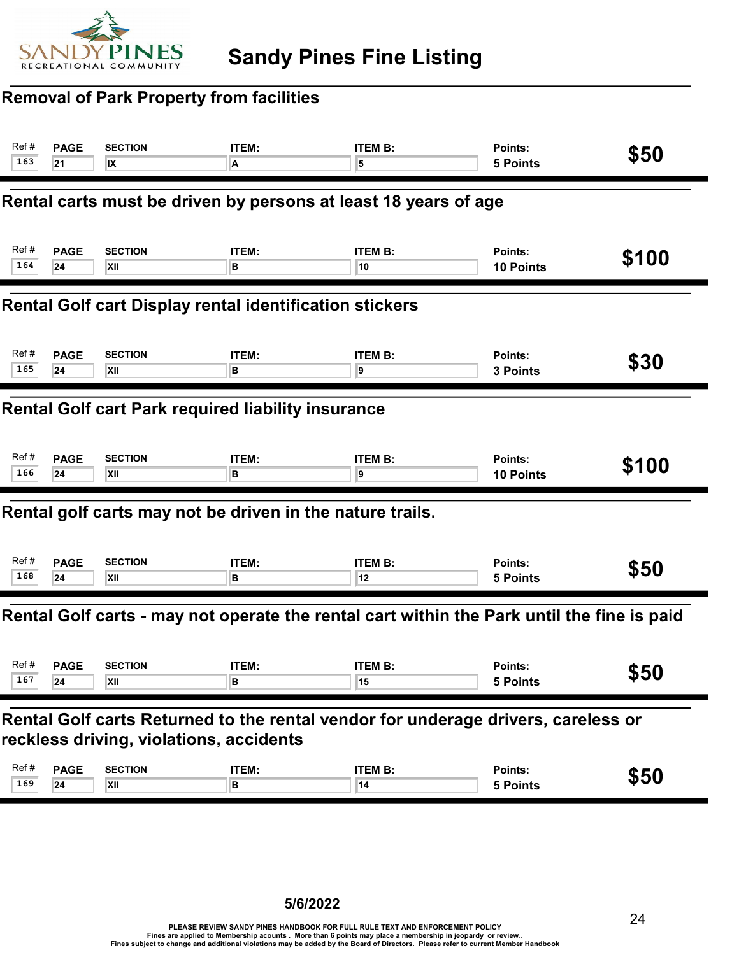

#### Removal of Park Property from facilities

| Ref#                                                           | <b>PAGE</b>                                                                                                                  | <b>SECTION</b> | ITEM:                                                     | <b>ITEM B:</b>                                                                             | Points:          | \$50  |  |  |
|----------------------------------------------------------------|------------------------------------------------------------------------------------------------------------------------------|----------------|-----------------------------------------------------------|--------------------------------------------------------------------------------------------|------------------|-------|--|--|
| 163                                                            | 21                                                                                                                           | IX             | A                                                         | 5                                                                                          | <b>5 Points</b>  |       |  |  |
|                                                                |                                                                                                                              |                |                                                           | Rental carts must be driven by persons at least 18 years of age                            |                  |       |  |  |
| Ref#                                                           | <b>PAGE</b>                                                                                                                  | <b>SECTION</b> | <b>ITEM:</b>                                              | <b>ITEM B:</b>                                                                             | Points:          | \$100 |  |  |
| 164                                                            | 24                                                                                                                           | XII            | в                                                         | 10                                                                                         | 10 Points        |       |  |  |
| <b>Rental Golf cart Display rental identification stickers</b> |                                                                                                                              |                |                                                           |                                                                                            |                  |       |  |  |
| Ref#                                                           | <b>PAGE</b>                                                                                                                  | <b>SECTION</b> | ITEM:                                                     | <b>ITEM B:</b>                                                                             | Points:          | \$30  |  |  |
| 165                                                            | 24                                                                                                                           | <b>XII</b>     | в                                                         | 9                                                                                          | <b>3 Points</b>  |       |  |  |
|                                                                | Rental Golf cart Park required liability insurance                                                                           |                |                                                           |                                                                                            |                  |       |  |  |
| Ref#                                                           | <b>PAGE</b>                                                                                                                  | <b>SECTION</b> | <b>ITEM:</b>                                              | <b>ITEM B:</b>                                                                             | Points:          | \$100 |  |  |
| 166                                                            | 24                                                                                                                           | <b>XII</b>     | B                                                         | 9                                                                                          | <b>10 Points</b> |       |  |  |
|                                                                |                                                                                                                              |                | Rental golf carts may not be driven in the nature trails. |                                                                                            |                  |       |  |  |
| Ref#                                                           | <b>PAGE</b>                                                                                                                  | <b>SECTION</b> | <b>ITEM:</b>                                              | <b>ITEM B:</b>                                                                             | Points:          | \$50  |  |  |
| 168                                                            | 24                                                                                                                           | XII            | в                                                         | 12                                                                                         | <b>5 Points</b>  |       |  |  |
|                                                                |                                                                                                                              |                |                                                           | Rental Golf carts - may not operate the rental cart within the Park until the fine is paid |                  |       |  |  |
| Ref#                                                           | <b>PAGE</b>                                                                                                                  | <b>SECTION</b> | <b>ITEM:</b>                                              | <b>ITEM B:</b>                                                                             | Points:          | \$50  |  |  |
| 167                                                            | 24                                                                                                                           | XII            | В                                                         | 15                                                                                         | <b>5 Points</b>  |       |  |  |
|                                                                | Rental Golf carts Returned to the rental vendor for underage drivers, careless or<br>reckless driving, violations, accidents |                |                                                           |                                                                                            |                  |       |  |  |
| Ref#                                                           | <b>PAGE</b>                                                                                                                  | <b>SECTION</b> | ITEM:                                                     | <b>ITEM B:</b>                                                                             | Points:          | \$50  |  |  |
| 169                                                            | 24                                                                                                                           | XII            | B                                                         | 14                                                                                         | <b>5 Points</b>  |       |  |  |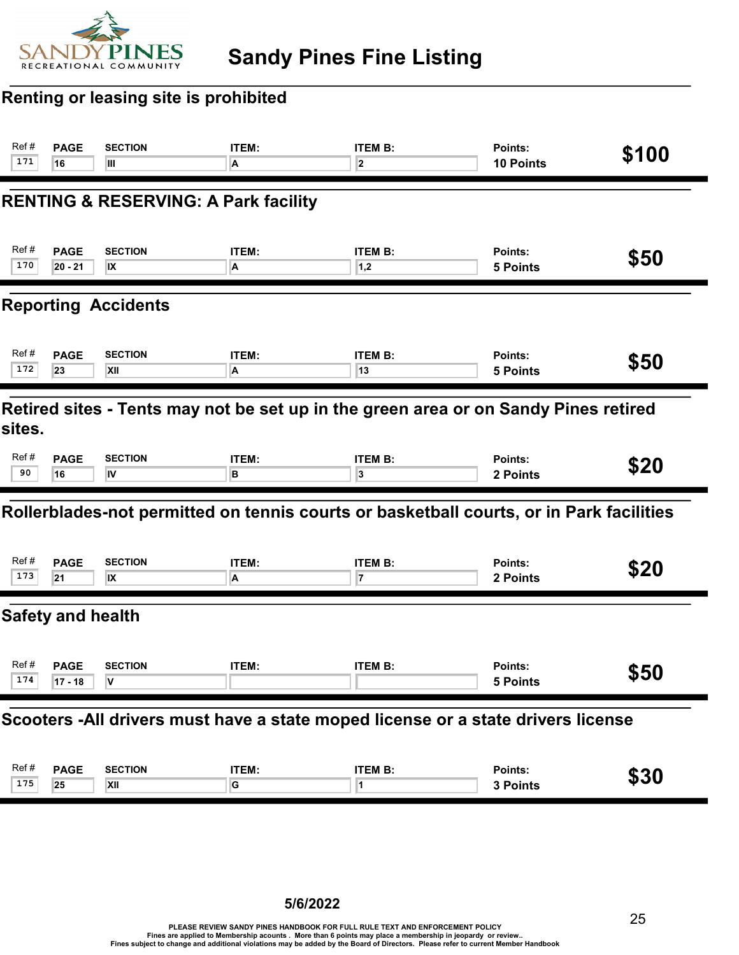

## Renting or leasing site is prohibited

| Ref#<br>171                                                                                   | <b>PAGE</b><br>16                                                                 | <b>SECTION</b><br>Ш                             | ITEM:<br>A | <b>ITEM B:</b><br>$\overline{\mathbf{2}}$                                               | Points:<br>10 Points       | \$100 |  |  |
|-----------------------------------------------------------------------------------------------|-----------------------------------------------------------------------------------|-------------------------------------------------|------------|-----------------------------------------------------------------------------------------|----------------------------|-------|--|--|
|                                                                                               |                                                                                   | <b>RENTING &amp; RESERVING: A Park facility</b> |            |                                                                                         |                            |       |  |  |
| Ref#<br>170                                                                                   | <b>PAGE</b><br>$20 - 21$                                                          | <b>SECTION</b><br>IX                            | ITEM:<br>A | <b>ITEM B:</b><br> 1,2                                                                  | Points:<br>5 Points        | \$50  |  |  |
| <b>Reporting Accidents</b>                                                                    |                                                                                   |                                                 |            |                                                                                         |                            |       |  |  |
| Ref#<br>172                                                                                   | <b>PAGE</b><br>23                                                                 | <b>SECTION</b><br>XII                           | ITEM:<br>A | <b>ITEM B:</b><br>13                                                                    | Points:<br><b>5 Points</b> | \$50  |  |  |
| Retired sites - Tents may not be set up in the green area or on Sandy Pines retired<br>sites. |                                                                                   |                                                 |            |                                                                                         |                            |       |  |  |
| Ref#<br>90                                                                                    | <b>PAGE</b><br>16                                                                 | <b>SECTION</b><br>IV                            | ITEM:<br>в | <b>ITEM B:</b><br>3                                                                     | Points:<br>2 Points        | \$20  |  |  |
|                                                                                               |                                                                                   |                                                 |            | Rollerblades-not permitted on tennis courts or basketball courts, or in Park facilities |                            |       |  |  |
| Ref#<br>173                                                                                   | <b>PAGE</b><br>21                                                                 | <b>SECTION</b><br>IX                            | ITEM:<br>A | <b>ITEM B:</b><br>7                                                                     | Points:<br>2 Points        | \$20  |  |  |
|                                                                                               | <b>Safety and health</b>                                                          |                                                 |            |                                                                                         |                            |       |  |  |
| Ref#<br>174                                                                                   | <b>PAGE</b><br>$17 - 18$                                                          | <b>SECTION</b>                                  | ITEM:      | <b>ITEM B:</b>                                                                          | Points:<br>5 Points        | \$50  |  |  |
|                                                                                               | Scooters - All drivers must have a state moped license or a state drivers license |                                                 |            |                                                                                         |                            |       |  |  |
| Ref#<br>175                                                                                   | <b>PAGE</b><br>25                                                                 | <b>SECTION</b><br>XII                           | ITEM:<br>G | <b>ITEM B:</b><br>1                                                                     | Points:<br>3 Points        | \$30  |  |  |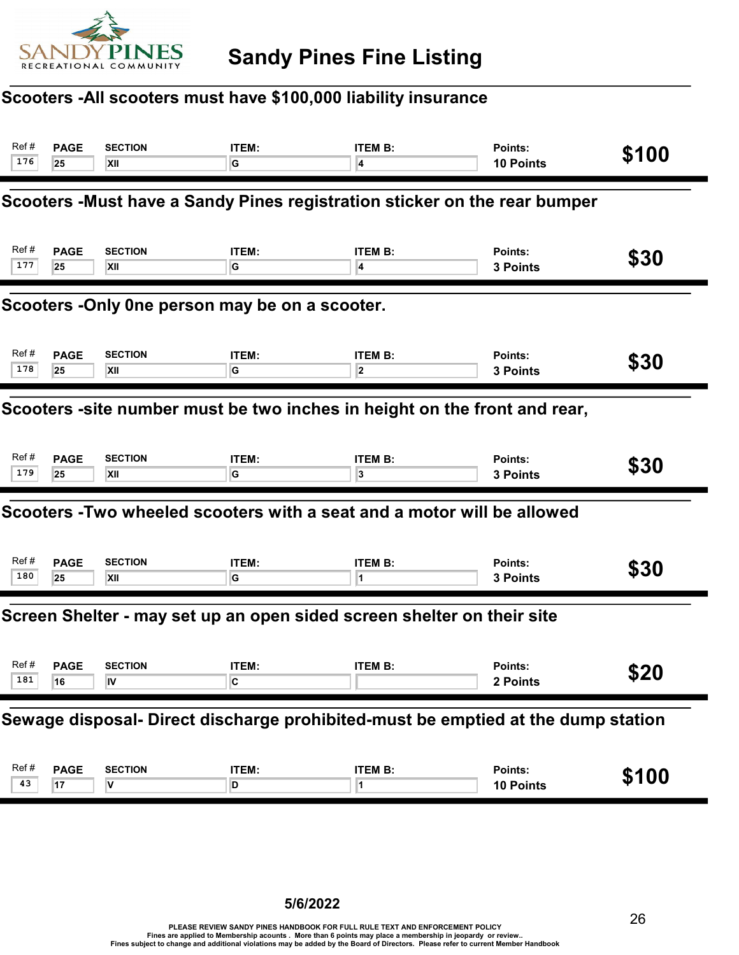

## Scooters -All scooters must have \$100,000 liability insurance

| Ref #<br>176                                   | <b>PAGE</b><br>25                                                                | <b>SECTION</b><br>XII            | ITEM:<br>G              | <b>ITEM B:</b><br>4                                                    | Points:<br>10 Points       | \$100 |  |  |  |
|------------------------------------------------|----------------------------------------------------------------------------------|----------------------------------|-------------------------|------------------------------------------------------------------------|----------------------------|-------|--|--|--|
|                                                | Scooters -Must have a Sandy Pines registration sticker on the rear bumper        |                                  |                         |                                                                        |                            |       |  |  |  |
| Ref #<br>177                                   | <b>PAGE</b><br>25                                                                | <b>SECTION</b><br>XII            | ITEM:<br>G              | <b>ITEM B:</b><br>4                                                    | Points:<br>3 Points        | \$30  |  |  |  |
| Scooters -Only 0ne person may be on a scooter. |                                                                                  |                                  |                         |                                                                        |                            |       |  |  |  |
| Ref #<br>178                                   | <b>PAGE</b><br>25                                                                | <b>SECTION</b><br>XII            | ITEM:<br>G              | <b>ITEM B:</b><br>2                                                    | Points:<br>3 Points        | \$30  |  |  |  |
|                                                | Scooters -site number must be two inches in height on the front and rear,        |                                  |                         |                                                                        |                            |       |  |  |  |
| Ref#<br>179                                    | <b>PAGE</b><br>25                                                                | <b>SECTION</b><br>XII            | ITEM:<br>G              | <b>ITEM B:</b><br>3                                                    | Points:<br>3 Points        | \$30  |  |  |  |
|                                                |                                                                                  |                                  |                         | Scooters -Two wheeled scooters with a seat and a motor will be allowed |                            |       |  |  |  |
| Ref #<br>180                                   | <b>PAGE</b><br>25                                                                | <b>SECTION</b><br>XII            | ITEM:<br>G              | <b>ITEM B:</b><br>1                                                    | Points:<br><b>3 Points</b> | \$30  |  |  |  |
|                                                |                                                                                  |                                  |                         | Screen Shelter - may set up an open sided screen shelter on their site |                            |       |  |  |  |
| Ref #<br>181                                   | <b>PAGE</b><br>16                                                                | <b>SECTION</b><br>$\overline{N}$ | ITEM:<br>$\overline{c}$ | <b>ITEM B:</b>                                                         | Points:<br>2 Points        | \$20  |  |  |  |
|                                                | Sewage disposal- Direct discharge prohibited-must be emptied at the dump station |                                  |                         |                                                                        |                            |       |  |  |  |
| Ref#<br>43                                     | <b>PAGE</b><br>17                                                                | <b>SECTION</b><br>V              | ITEM:<br>D              | <b>ITEM B:</b><br>1                                                    | Points:<br>10 Points       | \$100 |  |  |  |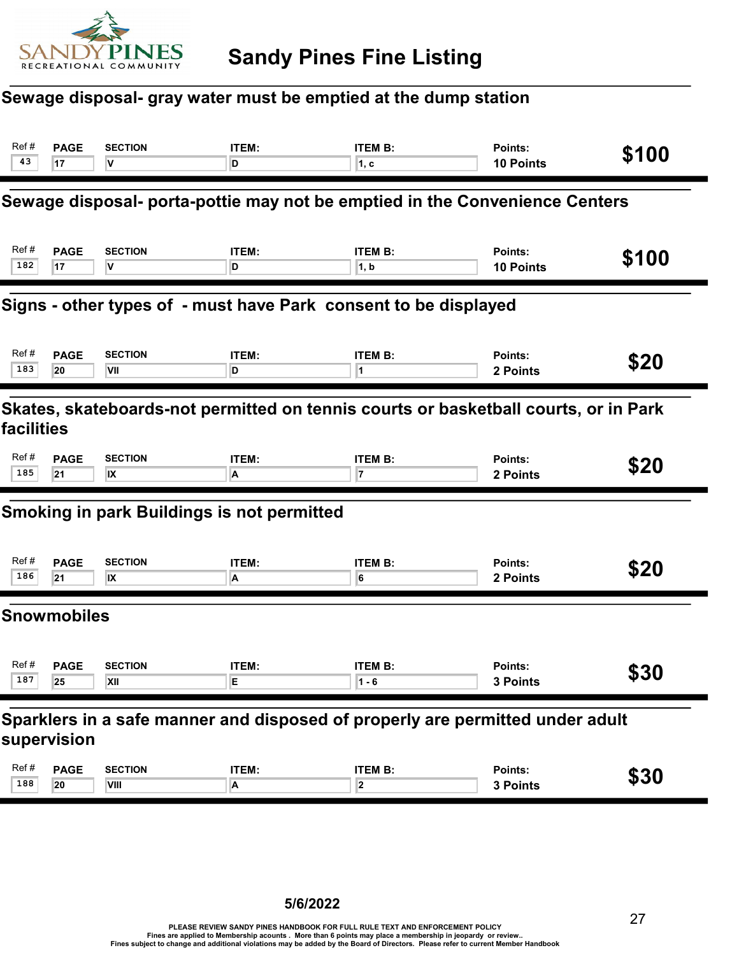

#### Sewage disposal- gray water must be emptied at the dump station

| Ref#<br>43                                                                                        | <b>PAGE</b><br>17                                                                            | <b>SECTION</b><br>V    | ITEM:<br>D                                        | <b>ITEM B:</b><br>1, c                                                      | Points:<br>10 Points | \$100 |  |  |
|---------------------------------------------------------------------------------------------------|----------------------------------------------------------------------------------------------|------------------------|---------------------------------------------------|-----------------------------------------------------------------------------|----------------------|-------|--|--|
|                                                                                                   |                                                                                              |                        |                                                   | Sewage disposal- porta-pottie may not be emptied in the Convenience Centers |                      |       |  |  |
| Ref#<br>182                                                                                       | <b>PAGE</b><br>17                                                                            | <b>SECTION</b><br>۷    | <b>ITEM:</b><br>D                                 | <b>ITEM B:</b><br>1, b                                                      | Points:<br>10 Points | \$100 |  |  |
| Signs - other types of - must have Park consent to be displayed                                   |                                                                                              |                        |                                                   |                                                                             |                      |       |  |  |
| Ref#<br>183                                                                                       | <b>PAGE</b><br>20                                                                            | <b>SECTION</b><br>VII  | ITEM:<br>D                                        | <b>ITEM B:</b>                                                              | Points:<br>2 Points  | \$20  |  |  |
| Skates, skateboards-not permitted on tennis courts or basketball courts, or in Park<br>facilities |                                                                                              |                        |                                                   |                                                                             |                      |       |  |  |
| Ref#<br>185                                                                                       | <b>PAGE</b><br>21                                                                            | <b>SECTION</b><br>IX   | ITEM:<br>A                                        | <b>ITEM B:</b><br>7                                                         | Points:<br>2 Points  | \$20  |  |  |
|                                                                                                   |                                                                                              |                        | <b>Smoking in park Buildings is not permitted</b> |                                                                             |                      |       |  |  |
| Ref#<br>186                                                                                       | <b>PAGE</b><br>21                                                                            | <b>SECTION</b><br>IX   | ITEM:<br>A                                        | <b>ITEM B:</b><br>6                                                         | Points:<br>2 Points  | \$20  |  |  |
|                                                                                                   | <b>Snowmobiles</b>                                                                           |                        |                                                   |                                                                             |                      |       |  |  |
| Ref#<br>187                                                                                       | <b>PAGE</b><br>25                                                                            | <b>SECTION</b><br>XII  | ITEM:<br>E                                        | <b>ITEM B:</b><br>$1 - 6$                                                   | Points:<br>3 Points  | \$30  |  |  |
|                                                                                                   | Sparklers in a safe manner and disposed of properly are permitted under adult<br>supervision |                        |                                                   |                                                                             |                      |       |  |  |
| Ref#<br>188                                                                                       | <b>PAGE</b><br>20                                                                            | <b>SECTION</b><br>VIII | ITEM:<br>A                                        | <b>ITEM B:</b><br>$\overline{\mathbf{2}}$                                   | Points:<br>3 Points  | \$30  |  |  |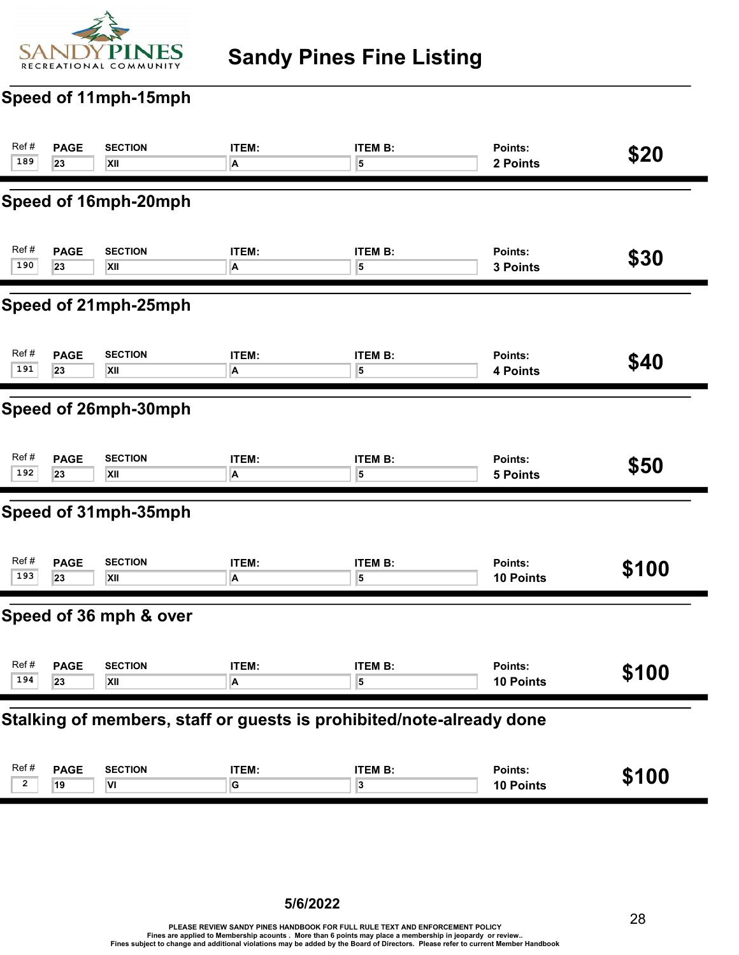

## Sandy Pines Fine Listing

## Speed of 11mph-15mph

| Ref#           | <b>PAGE</b>                                                          | <b>SECTION</b>         | ITEM:                   | <b>ITEM B:</b>          | Points:         | \$20  |  |  |
|----------------|----------------------------------------------------------------------|------------------------|-------------------------|-------------------------|-----------------|-------|--|--|
| 189            | 23                                                                   | XII                    | A                       | 5                       | 2 Points        |       |  |  |
|                |                                                                      | Speed of 16mph-20mph   |                         |                         |                 |       |  |  |
| Ref#           | <b>PAGE</b>                                                          | <b>SECTION</b>         | ITEM:                   | <b>ITEM B:</b>          | Points:         | \$30  |  |  |
| 190            | 23                                                                   | XII                    | A                       | 5                       | 3 Points        |       |  |  |
|                | Speed of 21mph-25mph                                                 |                        |                         |                         |                 |       |  |  |
| Ref#           | <b>PAGE</b>                                                          | <b>SECTION</b>         | ITEM:                   | <b>ITEM B:</b>          | Points:         | \$40  |  |  |
| 191            | 23                                                                   | XII                    | A                       | 5                       | 4 Points        |       |  |  |
|                | Speed of 26mph-30mph                                                 |                        |                         |                         |                 |       |  |  |
| Ref#           | <b>PAGE</b>                                                          | <b>SECTION</b>         | ITEM:                   | <b>ITEM B:</b>          | Points:         | \$50  |  |  |
| 192            | 23                                                                   | XII                    | A                       | 5                       | <b>5 Points</b> |       |  |  |
|                |                                                                      | Speed of 31mph-35mph   |                         |                         |                 |       |  |  |
| Ref#           | <b>PAGE</b>                                                          | <b>SECTION</b>         | ITEM:                   | <b>ITEM B:</b>          | Points:         | \$100 |  |  |
| 193            | 23                                                                   | XII                    | $\overline{\mathsf{A}}$ | 5                       | 10 Points       |       |  |  |
|                |                                                                      | Speed of 36 mph & over |                         |                         |                 |       |  |  |
| Ref#           | <b>PAGE</b>                                                          | <b>SECTION</b>         | ITEM:                   | <b>ITEM B:</b>          | Points:         | \$100 |  |  |
| 194            | 23                                                                   | XII                    | $\overline{A}$          | $\overline{\mathbf{5}}$ | 10 Points       |       |  |  |
|                | Stalking of members, staff or guests is prohibited/note-already done |                        |                         |                         |                 |       |  |  |
| Ref#           | <b>PAGE</b>                                                          | <b>SECTION</b>         | ITEM:                   | <b>ITEM B:</b>          | Points:         | \$100 |  |  |
| $\overline{2}$ | 19                                                                   | VI                     | G                       | 3                       | 10 Points       |       |  |  |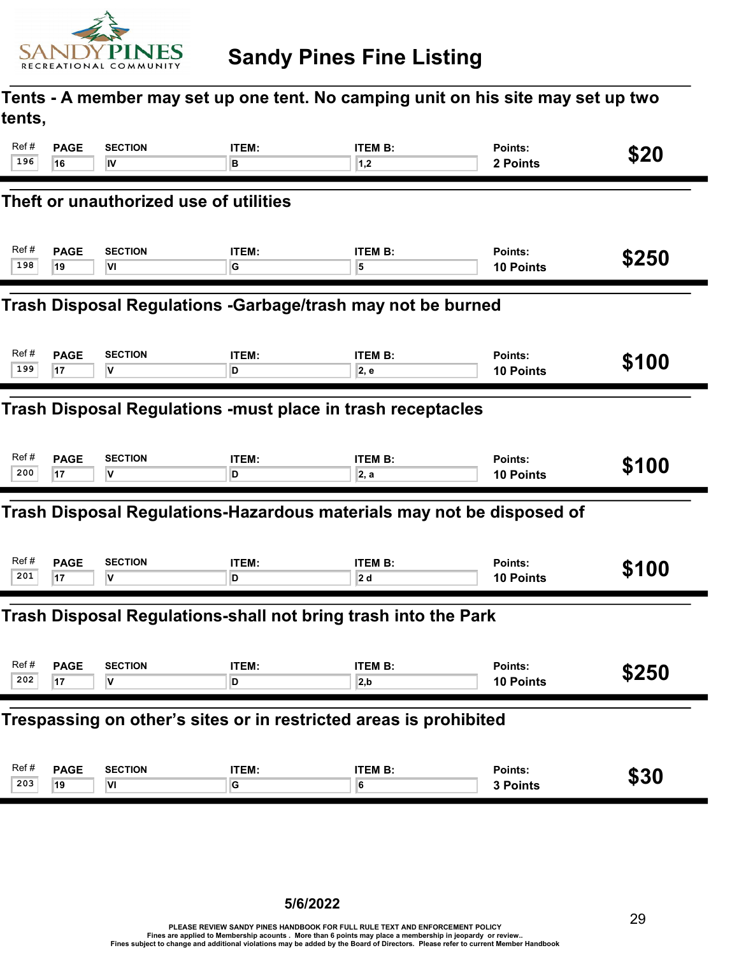

### Tents - A member may set up one tent. No camping unit on his site may set up two tents,

| Ref#                                                        | <b>PAGE</b>                                                       | <b>SECTION</b>                         | ITEM:        | <b>ITEM B:</b>                                                        | Points:          | \$20  |  |  |
|-------------------------------------------------------------|-------------------------------------------------------------------|----------------------------------------|--------------|-----------------------------------------------------------------------|------------------|-------|--|--|
| 196                                                         | 16                                                                | IV                                     | в            | 1,2                                                                   | 2 Points         |       |  |  |
|                                                             |                                                                   | Theft or unauthorized use of utilities |              |                                                                       |                  |       |  |  |
| Ref#                                                        | <b>PAGE</b>                                                       | <b>SECTION</b>                         | ITEM:        | <b>ITEM B:</b>                                                        | Points:          | \$250 |  |  |
| 198                                                         | 19                                                                | VI                                     | G            | 5                                                                     | 10 Points        |       |  |  |
| Trash Disposal Regulations -Garbage/trash may not be burned |                                                                   |                                        |              |                                                                       |                  |       |  |  |
| Ref#                                                        | <b>PAGE</b>                                                       | <b>SECTION</b>                         | ITEM:        | <b>ITEM B:</b>                                                        | Points:          | \$100 |  |  |
| 199                                                         | 17                                                                | I۷                                     | D            | 2, e                                                                  | <b>10 Points</b> |       |  |  |
| Trash Disposal Regulations -must place in trash receptacles |                                                                   |                                        |              |                                                                       |                  |       |  |  |
| Ref#                                                        | <b>PAGE</b>                                                       | <b>SECTION</b>                         | ITEM:        | <b>ITEM B:</b>                                                        | Points:          | \$100 |  |  |
| 200                                                         | 17                                                                | V                                      | D            | 2, a                                                                  | <b>10 Points</b> |       |  |  |
|                                                             |                                                                   |                                        |              | Trash Disposal Regulations-Hazardous materials may not be disposed of |                  |       |  |  |
| Ref#                                                        | <b>PAGE</b>                                                       | <b>SECTION</b>                         | <b>ITEM:</b> | <b>ITEM B:</b>                                                        | Points:          | \$100 |  |  |
| 201                                                         | 17                                                                | v                                      | D            | 2 d                                                                   | 10 Points        |       |  |  |
|                                                             |                                                                   |                                        |              | Trash Disposal Regulations-shall not bring trash into the Park        |                  |       |  |  |
| Ref#                                                        | <b>PAGE</b>                                                       | <b>SECTION</b>                         | <b>ITEM:</b> | <b>ITEM B:</b>                                                        | Points:          | \$250 |  |  |
| 202                                                         | 17                                                                | ۷                                      | D            | 2, b                                                                  | 10 Points        |       |  |  |
|                                                             | Trespassing on other's sites or in restricted areas is prohibited |                                        |              |                                                                       |                  |       |  |  |
| Ref#                                                        | <b>PAGE</b>                                                       | <b>SECTION</b>                         | ITEM:        | <b>ITEM B:</b>                                                        | Points:          | \$30  |  |  |
| 203                                                         | 19                                                                | VI                                     | $\mathsf G$  | 6                                                                     | 3 Points         |       |  |  |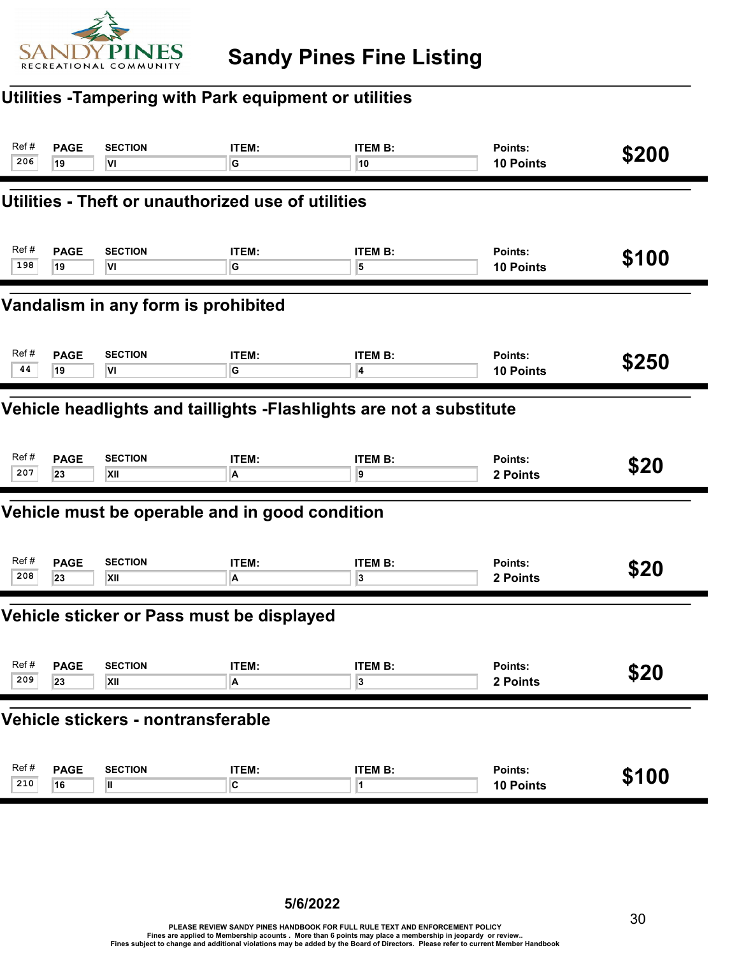

#### Utilities -Tampering with Park equipment or utilities

| Ref#                                                                | <b>PAGE</b> | <b>SECTION</b>                                     | ITEM:                   | <b>ITEM B:</b> | Points:          | \$200 |  |  |
|---------------------------------------------------------------------|-------------|----------------------------------------------------|-------------------------|----------------|------------------|-------|--|--|
| 206                                                                 | 19          | VI                                                 | G                       | 10             | 10 Points        |       |  |  |
|                                                                     |             | Utilities - Theft or unauthorized use of utilities |                         |                |                  |       |  |  |
| Ref#                                                                | <b>PAGE</b> | <b>SECTION</b>                                     | ITEM:                   | <b>ITEM B:</b> | Points:          | \$100 |  |  |
| 198                                                                 | 19          | VI                                                 | G                       | 5              | <b>10 Points</b> |       |  |  |
| Vandalism in any form is prohibited                                 |             |                                                    |                         |                |                  |       |  |  |
| Ref#                                                                | <b>PAGE</b> | <b>SECTION</b>                                     | ITEM:                   | <b>ITEM B:</b> | Points:          | \$250 |  |  |
| 44                                                                  | 19          | VI                                                 | G                       | 4              | 10 Points        |       |  |  |
| Vehicle headlights and taillights -Flashlights are not a substitute |             |                                                    |                         |                |                  |       |  |  |
| Ref#                                                                | <b>PAGE</b> | <b>SECTION</b>                                     | ITEM:                   | <b>ITEM B:</b> | Points:          | \$20  |  |  |
| 207                                                                 | 23          | XII                                                | A                       | 9              | 2 Points         |       |  |  |
|                                                                     |             | Vehicle must be operable and in good condition     |                         |                |                  |       |  |  |
| Ref#                                                                | <b>PAGE</b> | <b>SECTION</b>                                     | ITEM:                   | <b>ITEM B:</b> | Points:          | \$20  |  |  |
| 208                                                                 | 23          | XII                                                | A                       | 3              | 2 Points         |       |  |  |
|                                                                     |             | Vehicle sticker or Pass must be displayed          |                         |                |                  |       |  |  |
| Ref#                                                                | <b>PAGE</b> | <b>SECTION</b>                                     | ITEM:                   | <b>ITEM B:</b> | <b>Points:</b>   | \$20  |  |  |
| 209                                                                 | 23          | XII                                                | Α                       | 3              | 2 Points         |       |  |  |
| Vehicle stickers - nontransferable                                  |             |                                                    |                         |                |                  |       |  |  |
| Ref#                                                                | <b>PAGE</b> | <b>SECTION</b>                                     | ITEM:                   | <b>ITEM B:</b> | Points:          | \$100 |  |  |
| 210                                                                 | 16          | Ш                                                  | $\overline{\mathbf{c}}$ | 1              | 10 Points        |       |  |  |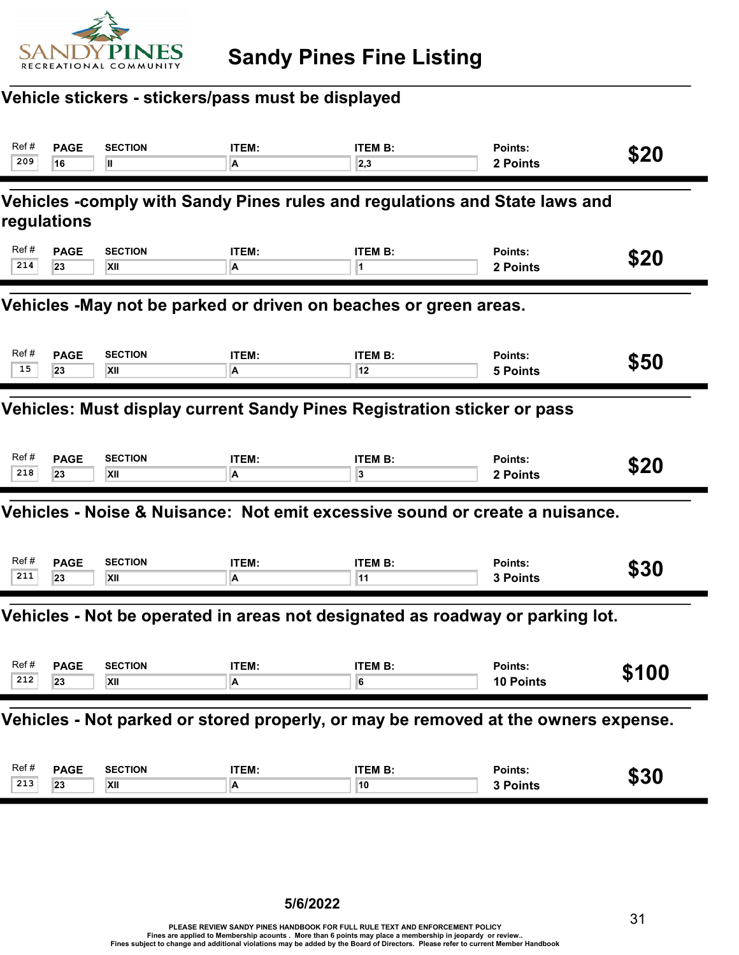

## Vehicle stickers - stickers/pass must be displayed

| Ref# | <b>PAGE</b>                                                                        | <b>SECTION</b> | ITEM: | <b>ITEM B:</b>                                                                | Points:         | \$20  |  |  |  |
|------|------------------------------------------------------------------------------------|----------------|-------|-------------------------------------------------------------------------------|-----------------|-------|--|--|--|
| 209  | 16                                                                                 | Ш              | A     | 2,3                                                                           | 2 Points        |       |  |  |  |
|      | regulations                                                                        |                |       | Vehicles -comply with Sandy Pines rules and regulations and State laws and    |                 |       |  |  |  |
| Ref# | <b>PAGE</b>                                                                        | <b>SECTION</b> | ITEM: | <b>ITEM B:</b>                                                                | Points:         | \$20  |  |  |  |
| 214  | 23                                                                                 | XII            | A     | 1                                                                             | 2 Points        |       |  |  |  |
|      | Vehicles -May not be parked or driven on beaches or green areas.                   |                |       |                                                                               |                 |       |  |  |  |
| Ref# | <b>PAGE</b>                                                                        | <b>SECTION</b> | ITEM: | <b>ITEM B:</b>                                                                | Points:         | \$50  |  |  |  |
| 15   | 23                                                                                 | XII            | A     | 12                                                                            | <b>5 Points</b> |       |  |  |  |
|      | Vehicles: Must display current Sandy Pines Registration sticker or pass            |                |       |                                                                               |                 |       |  |  |  |
| Ref# | <b>PAGE</b>                                                                        | <b>SECTION</b> | ITEM: | <b>ITEM B:</b>                                                                | Points:         | \$20  |  |  |  |
| 218  | 23                                                                                 | XII            | A     | 3                                                                             | 2 Points        |       |  |  |  |
|      |                                                                                    |                |       | Vehicles - Noise & Nuisance: Not emit excessive sound or create a nuisance.   |                 |       |  |  |  |
| Ref# | <b>PAGE</b>                                                                        | <b>SECTION</b> | ITEM: | <b>ITEM B:</b>                                                                | Points:         | \$30  |  |  |  |
| 211  | 23                                                                                 | XII            | A     | 11                                                                            | 3 Points        |       |  |  |  |
|      |                                                                                    |                |       | Vehicles - Not be operated in areas not designated as roadway or parking lot. |                 |       |  |  |  |
| Ref# | <b>PAGE</b>                                                                        | <b>SECTION</b> | ITEM: | <b>ITEM B:</b>                                                                | Points:         | \$100 |  |  |  |
| 212  | 23                                                                                 | XII            | A     | 6                                                                             | 10 Points       |       |  |  |  |
|      | Vehicles - Not parked or stored properly, or may be removed at the owners expense. |                |       |                                                                               |                 |       |  |  |  |
| Ref# | <b>PAGE</b>                                                                        | <b>SECTION</b> | ITEM: | <b>ITEM B:</b>                                                                | Points:         | \$30  |  |  |  |
| 213  | 23                                                                                 | XII            | A     | 10                                                                            | 3 Points        |       |  |  |  |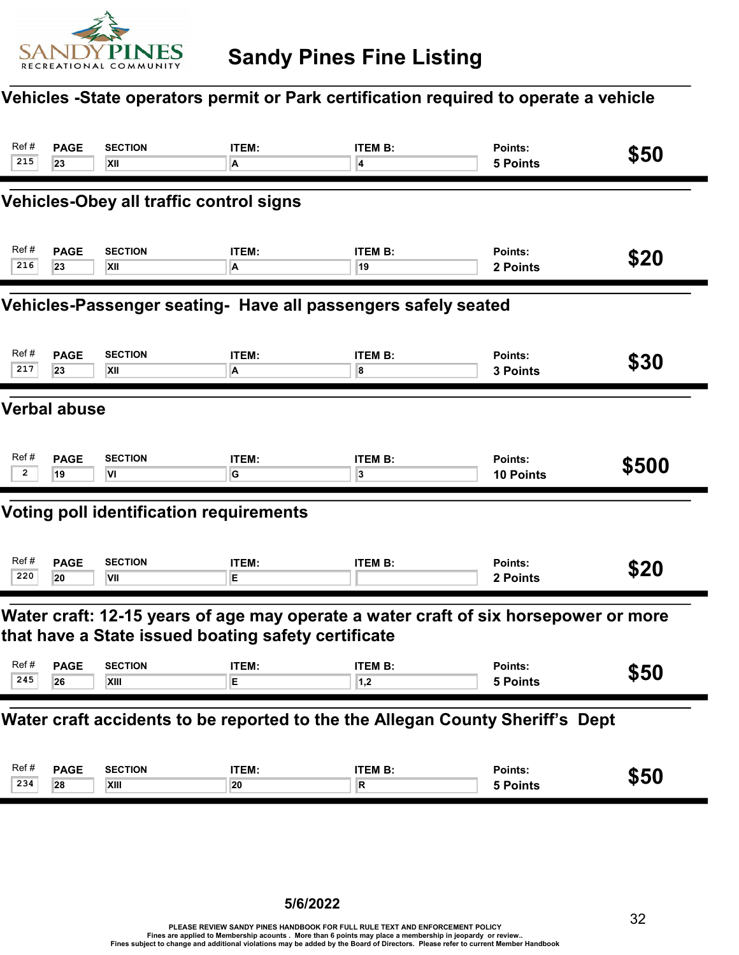

## Vehicles -State operators permit or Park certification required to operate a vehicle

| Ref#<br>215                                                   | <b>PAGE</b><br>23                                                             | <b>SECTION</b><br>XII                               | <b>ITEM:</b><br>A | <b>ITEM B:</b><br>4                                                                 | <b>Points:</b><br><b>5 Points</b> | \$50  |  |  |
|---------------------------------------------------------------|-------------------------------------------------------------------------------|-----------------------------------------------------|-------------------|-------------------------------------------------------------------------------------|-----------------------------------|-------|--|--|
|                                                               |                                                                               | <b>Vehicles-Obey all traffic control signs</b>      |                   |                                                                                     |                                   |       |  |  |
| Ref #<br>216                                                  | <b>PAGE</b><br>23                                                             | <b>SECTION</b><br>XII                               | ITEM:<br>А        | <b>ITEM B:</b><br>19                                                                | Points:<br>2 Points               | \$20  |  |  |
| Vehicles-Passenger seating- Have all passengers safely seated |                                                                               |                                                     |                   |                                                                                     |                                   |       |  |  |
| Ref#<br>217                                                   | <b>PAGE</b><br>23                                                             | <b>SECTION</b><br>XII                               | <b>ITEM:</b><br>A | <b>ITEM B:</b><br>8                                                                 | Points:<br>3 Points               | \$30  |  |  |
|                                                               | <b>Verbal abuse</b>                                                           |                                                     |                   |                                                                                     |                                   |       |  |  |
| Ref#<br>2                                                     | <b>PAGE</b><br>19                                                             | <b>SECTION</b><br>VI                                | ITEM:<br>G        | <b>ITEM B:</b><br>3                                                                 | Points:<br><b>10 Points</b>       | \$500 |  |  |
|                                                               |                                                                               | <b>Voting poll identification requirements</b>      |                   |                                                                                     |                                   |       |  |  |
| Ref#<br>220                                                   | <b>PAGE</b><br>20                                                             | <b>SECTION</b><br>VII                               | ITEM:<br>Е        | <b>ITEM B:</b>                                                                      | Points:<br>2 Points               | \$20  |  |  |
|                                                               |                                                                               | that have a State issued boating safety certificate |                   | Water craft: 12-15 years of age may operate a water craft of six horsepower or more |                                   |       |  |  |
| Ref #<br>245                                                  | <b>PAGE</b><br>26                                                             | <b>SECTION</b><br>XIII                              | <b>ITEM:</b><br>Ε | <b>ITEM B:</b><br>1,2                                                               | Points:<br>5 Points               | \$50  |  |  |
|                                                               | Water craft accidents to be reported to the the Allegan County Sheriff's Dept |                                                     |                   |                                                                                     |                                   |       |  |  |
| Ref#<br>234                                                   | <b>PAGE</b><br>28                                                             | <b>SECTION</b><br>XIII                              | ITEM:<br>20       | <b>ITEM B:</b><br>R                                                                 | Points:<br>5 Points               | \$50  |  |  |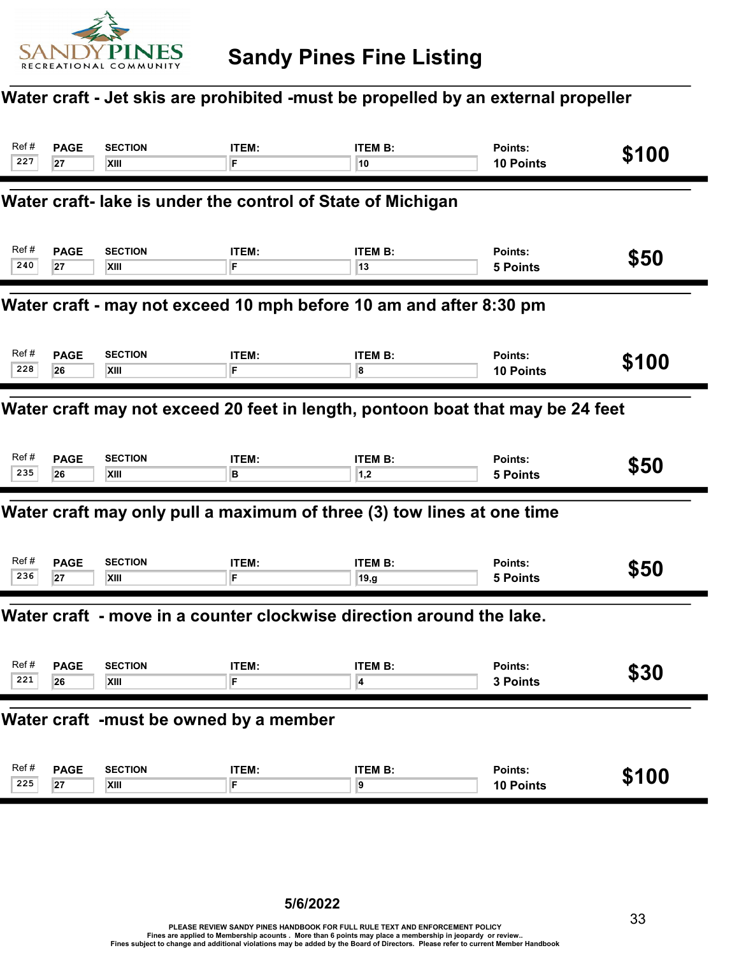

## Water craft - Jet skis are prohibited -must be propelled by an external propeller

| Ref#<br>227                                                                    | <b>PAGE</b><br>27 | <b>SECTION</b><br>XIII                                      | <b>ITEM:</b><br>F. | <b>ITEM B:</b><br>10                                                   | Points:<br>10 Points        | \$100 |  |
|--------------------------------------------------------------------------------|-------------------|-------------------------------------------------------------|--------------------|------------------------------------------------------------------------|-----------------------------|-------|--|
|                                                                                |                   | Water craft- lake is under the control of State of Michigan |                    |                                                                        |                             |       |  |
| Ref#<br>240                                                                    | <b>PAGE</b><br>27 | <b>SECTION</b><br>XIII                                      | ITEM:<br>F         | <b>ITEM B:</b><br>13                                                   | Points:<br><b>5 Points</b>  | \$50  |  |
| Water craft - may not exceed 10 mph before 10 am and after 8:30 pm             |                   |                                                             |                    |                                                                        |                             |       |  |
| Ref#<br>228                                                                    | <b>PAGE</b><br>26 | <b>SECTION</b><br><b>XIII</b>                               | ITEM:<br>F         | <b>ITEM B:</b><br>8                                                    | Points:<br><b>10 Points</b> | \$100 |  |
| Water craft may not exceed 20 feet in length, pontoon boat that may be 24 feet |                   |                                                             |                    |                                                                        |                             |       |  |
| Ref#<br>235                                                                    | <b>PAGE</b><br>26 | <b>SECTION</b><br>XIII                                      | <b>ITEM:</b><br>в  | <b>ITEM B:</b><br> 1,2                                                 | Points:<br><b>5 Points</b>  | \$50  |  |
|                                                                                |                   |                                                             |                    | Water craft may only pull a maximum of three (3) tow lines at one time |                             |       |  |
| Ref#<br>236                                                                    | <b>PAGE</b><br>27 | <b>SECTION</b><br>XIII                                      | ITEM:<br>F         | <b>ITEM B:</b><br>19,g                                                 | Points:<br><b>5 Points</b>  | \$50  |  |
|                                                                                |                   |                                                             |                    | Water craft - move in a counter clockwise direction around the lake.   |                             |       |  |
| Ref#<br>221                                                                    | <b>PAGE</b><br>26 | <b>SECTION</b><br>XIII                                      | ITEM:              | <b>ITEM B:</b><br>4                                                    | Points:<br><b>3 Points</b>  | \$30  |  |
|                                                                                |                   | Water craft -must be owned by a member                      |                    |                                                                        |                             |       |  |
| Ref#<br>225                                                                    | <b>PAGE</b><br>27 | <b>SECTION</b><br><b>XIII</b>                               | <b>ITEM:</b><br>F  | <b>ITEM B:</b><br>9                                                    | Points:<br>10 Points        | \$100 |  |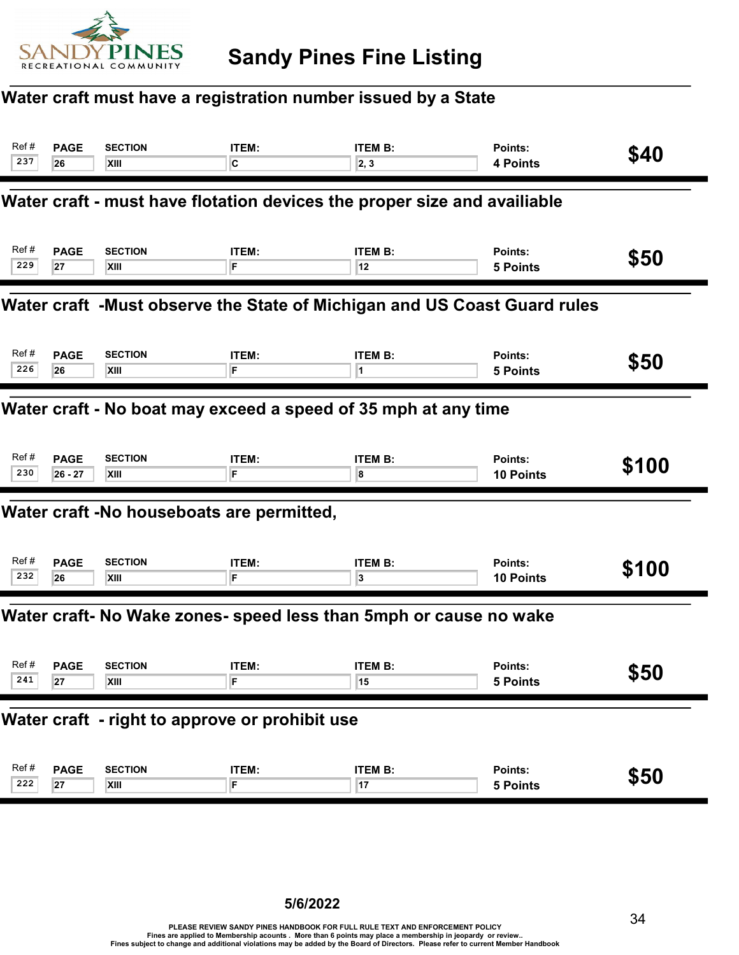

## Water craft must have a registration number issued by a State

| Ref#<br>237                                                    | <b>PAGE</b><br>26                                                         | <b>SECTION</b><br>XIII                         | ITEM:<br>C  | <b>ITEM B:</b><br>2, 3                                                   | Points:<br>4 Points         | \$40  |  |  |
|----------------------------------------------------------------|---------------------------------------------------------------------------|------------------------------------------------|-------------|--------------------------------------------------------------------------|-----------------------------|-------|--|--|
|                                                                |                                                                           |                                                |             | Water craft - must have flotation devices the proper size and availiable |                             |       |  |  |
| Ref#<br>229                                                    | <b>PAGE</b><br>27                                                         | <b>SECTION</b><br>XIII                         | ITEM:<br>F  | <b>ITEM B:</b><br>12                                                     | Points:<br><b>5 Points</b>  | \$50  |  |  |
|                                                                | Water craft J-Must observe the State of Michigan and US Coast Guard rules |                                                |             |                                                                          |                             |       |  |  |
| Ref#<br>226                                                    | <b>PAGE</b><br>26                                                         | <b>SECTION</b><br>XIII                         | ITEM:<br>F  | <b>ITEM B:</b><br>1                                                      | Points:<br><b>5 Points</b>  | \$50  |  |  |
| Water craft - No boat may exceed a speed of 35 mph at any time |                                                                           |                                                |             |                                                                          |                             |       |  |  |
| Ref#<br>230                                                    | <b>PAGE</b><br>$26 - 27$                                                  | <b>SECTION</b><br>XIII                         | ITEM:<br>F. | <b>ITEM B:</b><br>8                                                      | Points:<br><b>10 Points</b> | \$100 |  |  |
|                                                                |                                                                           | Water craft -No houseboats are permitted,      |             |                                                                          |                             |       |  |  |
| Ref#<br>232                                                    | <b>PAGE</b><br>26                                                         | <b>SECTION</b><br>XIII                         | ITEM:<br>F  | <b>ITEM B:</b><br>3                                                      | Points:<br>10 Points        | \$100 |  |  |
|                                                                |                                                                           |                                                |             | Water craft- No Wake zones- speed less than 5mph or cause no wake        |                             |       |  |  |
| Ref#<br>241                                                    | <b>PAGE</b><br>27                                                         | <b>SECTION</b><br><b>XIII</b>                  | ITEM:       | <b>ITEM B:</b><br>15                                                     | <b>Points:</b><br>5 Points  | \$50  |  |  |
|                                                                |                                                                           | Water craft - right to approve or prohibit use |             |                                                                          |                             |       |  |  |
| Ref#<br>222                                                    | <b>PAGE</b><br>27                                                         | <b>SECTION</b><br><b>XIII</b>                  | ITEM:<br>F  | <b>ITEM B:</b><br>17                                                     | Points:<br><b>5 Points</b>  | \$50  |  |  |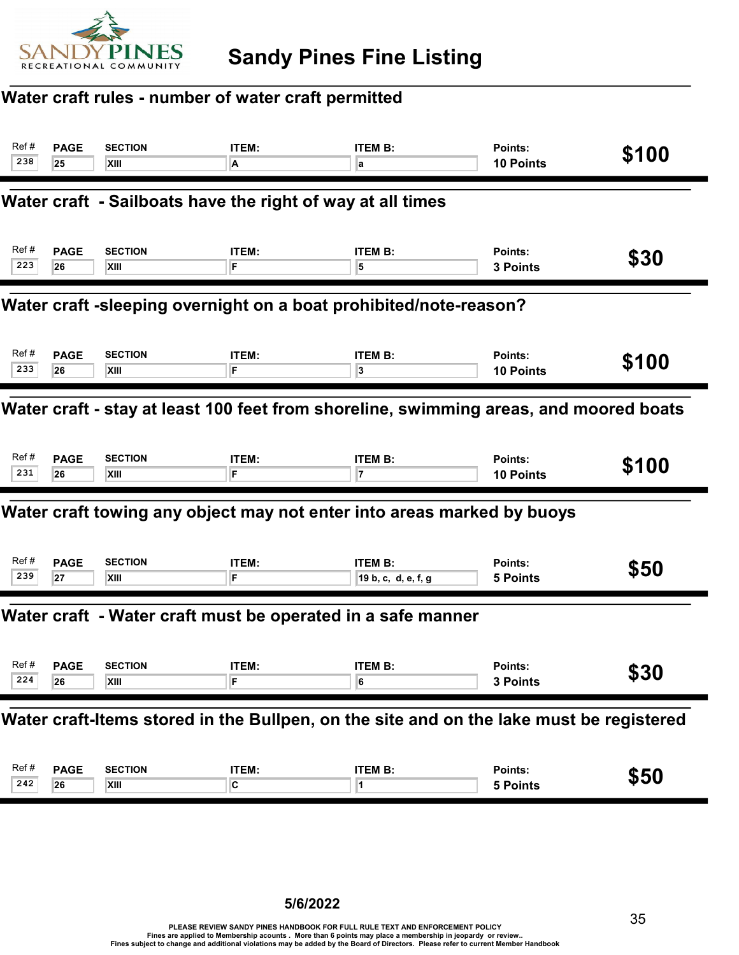

## Water craft rules - number of water craft permitted

| Ref#<br>238                                                                           | <b>PAGE</b><br>25                                          | <b>SECTION</b><br>XIII | ITEM:<br>A | <b>ITEM B:</b><br>a                                                                     | Points:<br>10 Points        | \$100 |  |  |  |
|---------------------------------------------------------------------------------------|------------------------------------------------------------|------------------------|------------|-----------------------------------------------------------------------------------------|-----------------------------|-------|--|--|--|
|                                                                                       | Water craft - Sailboats have the right of way at all times |                        |            |                                                                                         |                             |       |  |  |  |
| Ref #<br>223                                                                          | <b>PAGE</b><br>26                                          | <b>SECTION</b><br>XIII | ITEM:<br>F | <b>ITEM B:</b><br>5                                                                     | Points:<br>3 Points         | \$30  |  |  |  |
| Water craft -sleeping overnight on a boat prohibited/note-reason?                     |                                                            |                        |            |                                                                                         |                             |       |  |  |  |
| Ref#<br>233                                                                           | <b>PAGE</b><br>26                                          | <b>SECTION</b><br>XIII | ITEM:<br>F | <b>ITEM B:</b><br>3                                                                     | Points:<br><b>10 Points</b> | \$100 |  |  |  |
| Water craft - stay at least 100 feet from shoreline, swimming areas, and moored boats |                                                            |                        |            |                                                                                         |                             |       |  |  |  |
| Ref#<br>231                                                                           | <b>PAGE</b><br>26                                          | <b>SECTION</b><br>XIII | ITEM:<br>F | <b>ITEM B:</b><br>7                                                                     | Points:<br>10 Points        | \$100 |  |  |  |
|                                                                                       |                                                            |                        |            | Water craft towing any object may not enter into areas marked by buoys                  |                             |       |  |  |  |
| Ref#<br>239                                                                           | <b>PAGE</b><br>27                                          | <b>SECTION</b><br>XIII | ITEM:<br>F | <b>ITEM B:</b><br>19 b, c, d, e, f, g                                                   | Points:<br><b>5 Points</b>  | \$50  |  |  |  |
|                                                                                       |                                                            |                        |            | Water craft - Water craft must be operated in a safe manner                             |                             |       |  |  |  |
| Ref #<br>224                                                                          | <b>PAGE</b><br>26                                          | <b>SECTION</b><br>XIII | ITEM:      | <b>ITEM B:</b><br>6                                                                     | Points:<br>3 Points         | \$30  |  |  |  |
|                                                                                       |                                                            |                        |            | Water craft-Items stored in the Bullpen, on the site and on the lake must be registered |                             |       |  |  |  |
| Ref#<br>242                                                                           | <b>PAGE</b><br>26                                          | <b>SECTION</b><br>XIII | ITEM:<br>C | <b>ITEM B:</b><br>1                                                                     | Points:<br>5 Points         | \$50  |  |  |  |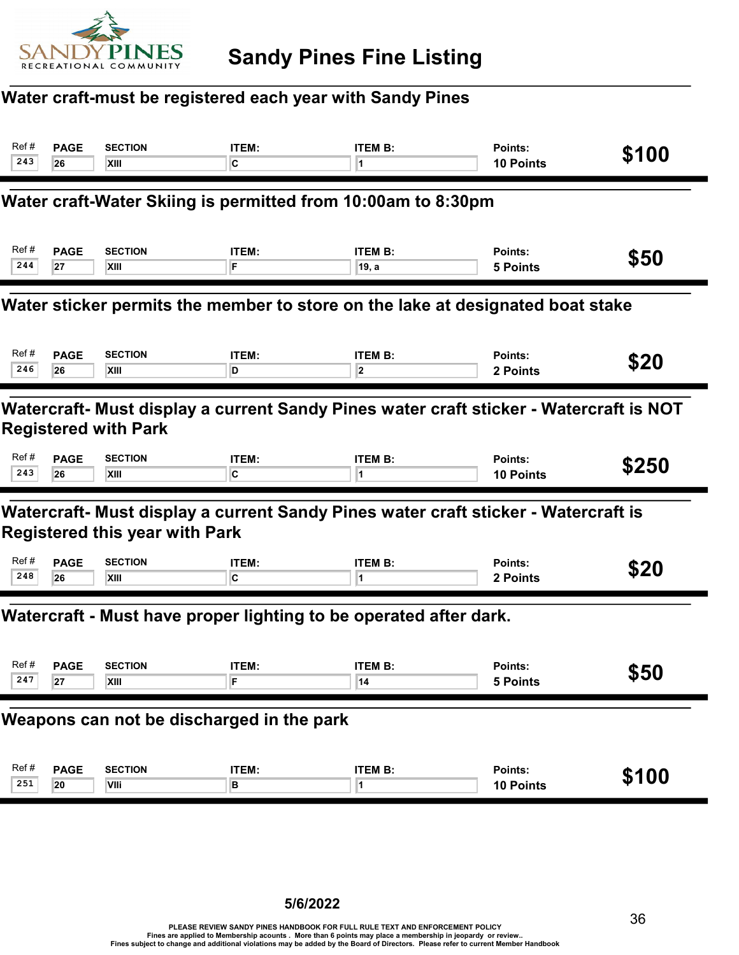

## Water craft-must be registered each year with Sandy Pines

| Ref#                                                                                                                  | <b>PAGE</b> | <b>SECTION</b>                        | ITEM:          | <b>ITEM B:</b>                                                                     | Points:          | \$100 |  |
|-----------------------------------------------------------------------------------------------------------------------|-------------|---------------------------------------|----------------|------------------------------------------------------------------------------------|------------------|-------|--|
| 243                                                                                                                   | 26          | XIII                                  | IC.            | 1                                                                                  | <b>10 Points</b> |       |  |
|                                                                                                                       |             |                                       |                | Water craft-Water Skiing is permitted from 10:00am to 8:30pm                       |                  |       |  |
| Ref#                                                                                                                  | <b>PAGE</b> | <b>SECTION</b>                        | ITEM:          | <b>ITEM B:</b>                                                                     | Points:          | \$50  |  |
| 244                                                                                                                   | 27          | XIII                                  | F              | ∣19, a                                                                             | <b>5 Points</b>  |       |  |
| Water sticker permits the member to store on the lake at designated boat stake                                        |             |                                       |                |                                                                                    |                  |       |  |
| Ref#                                                                                                                  | <b>PAGE</b> | <b>SECTION</b>                        | ITEM:          | <b>ITEM B:</b>                                                                     | Points:          | \$20  |  |
| 246                                                                                                                   | 26          | XIII                                  | D              | $\overline{\mathbf{2}}$                                                            | 2 Points         |       |  |
| Watercraft- Must display a current Sandy Pines water craft sticker - Watercraft is NOT<br><b>Registered with Park</b> |             |                                       |                |                                                                                    |                  |       |  |
| Ref#                                                                                                                  | <b>PAGE</b> | <b>SECTION</b>                        | ITEM:          | <b>ITEM B:</b>                                                                     | Points:          | \$250 |  |
| 243                                                                                                                   | 26          | XIII                                  | $\overline{c}$ | 1                                                                                  | <b>10 Points</b> |       |  |
|                                                                                                                       |             | <b>Registered this year with Park</b> |                | Watercraft- Must display a current Sandy Pines water craft sticker - Watercraft is |                  |       |  |
| Ref#                                                                                                                  | <b>PAGE</b> | <b>SECTION</b>                        | <b>ITEM:</b>   | <b>ITEM B:</b>                                                                     | Points:          | \$20  |  |
| 248                                                                                                                   | 26          | XIII                                  | C              | 1                                                                                  | 2 Points         |       |  |
|                                                                                                                       |             |                                       |                | Watercraft - Must have proper lighting to be operated after dark.                  |                  |       |  |
| Ref#                                                                                                                  | <b>PAGE</b> | <b>SECTION</b>                        | ITEM:          | <b>ITEM B:</b>                                                                     | Points:          | \$50  |  |
| 247                                                                                                                   | 27          | XIII                                  | F              | 14                                                                                 | <b>5 Points</b>  |       |  |
| Weapons can not be discharged in the park                                                                             |             |                                       |                |                                                                                    |                  |       |  |
| Ref#                                                                                                                  | <b>PAGE</b> | <b>SECTION</b>                        | ITEM:          | <b>ITEM B:</b>                                                                     | Points:          | \$100 |  |
| 251                                                                                                                   | 20          | VIIi                                  | B              | 1                                                                                  | 10 Points        |       |  |